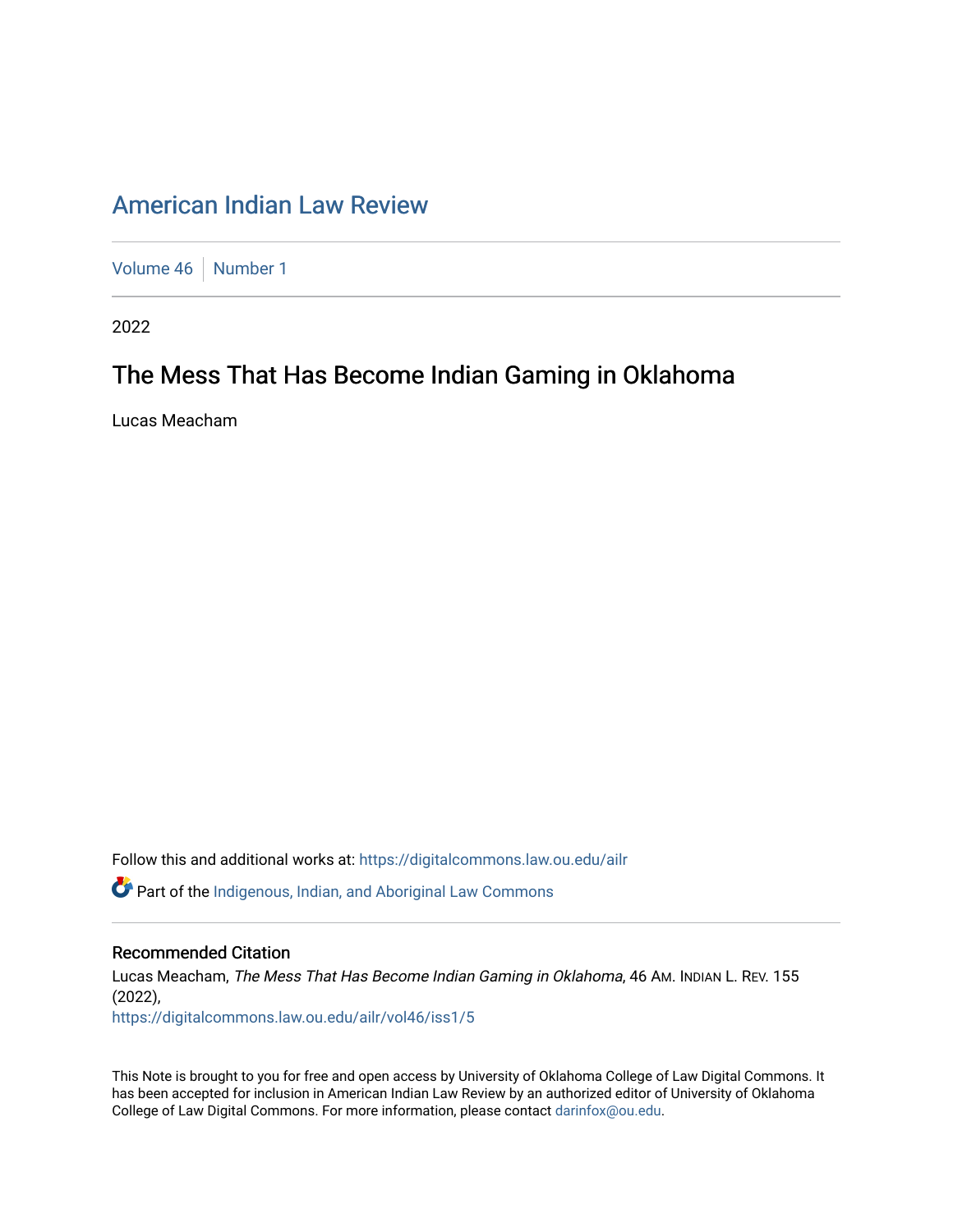# [American Indian Law Review](https://digitalcommons.law.ou.edu/ailr)

[Volume 46](https://digitalcommons.law.ou.edu/ailr/vol46) [Number 1](https://digitalcommons.law.ou.edu/ailr/vol46/iss1)

2022

# The Mess That Has Become Indian Gaming in Oklahoma

Lucas Meacham

Follow this and additional works at: [https://digitalcommons.law.ou.edu/ailr](https://digitalcommons.law.ou.edu/ailr?utm_source=digitalcommons.law.ou.edu%2Failr%2Fvol46%2Fiss1%2F5&utm_medium=PDF&utm_campaign=PDFCoverPages)

**C** Part of the Indigenous, Indian, and Aboriginal Law Commons

# Recommended Citation

Lucas Meacham, The Mess That Has Become Indian Gaming in Oklahoma, 46 AM. INDIAN L. REV. 155 (2022),

[https://digitalcommons.law.ou.edu/ailr/vol46/iss1/5](https://digitalcommons.law.ou.edu/ailr/vol46/iss1/5?utm_source=digitalcommons.law.ou.edu%2Failr%2Fvol46%2Fiss1%2F5&utm_medium=PDF&utm_campaign=PDFCoverPages)

This Note is brought to you for free and open access by University of Oklahoma College of Law Digital Commons. It has been accepted for inclusion in American Indian Law Review by an authorized editor of University of Oklahoma College of Law Digital Commons. For more information, please contact [darinfox@ou.edu.](mailto:darinfox@ou.edu)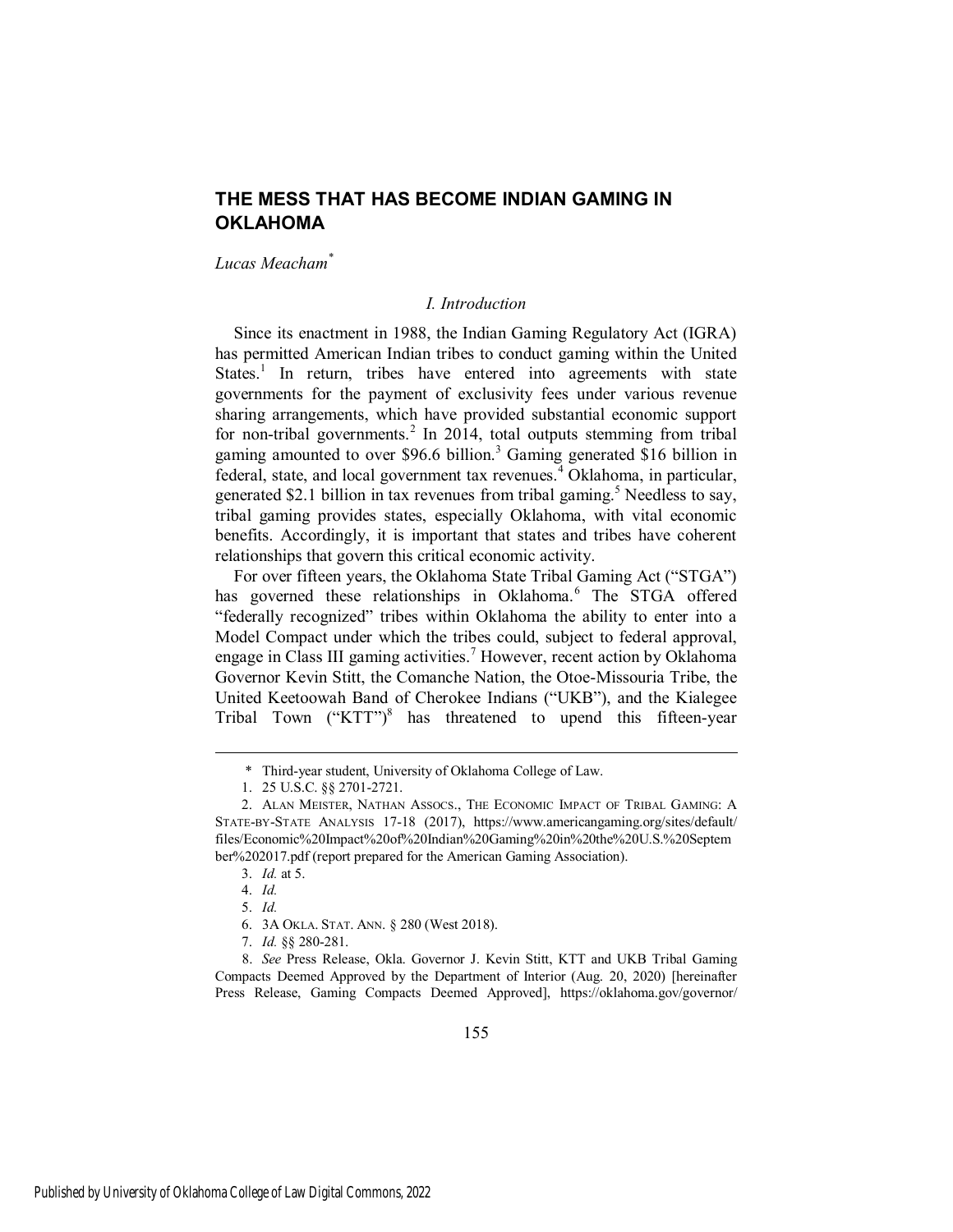# **THE MESS THAT HAS BECOME INDIAN GAMING IN OKLAHOMA**

*Lucas Meacham\**

#### *I. Introduction*

Since its enactment in 1988, the Indian Gaming Regulatory Act (IGRA) has permitted American Indian tribes to conduct gaming within the United States.<sup>1</sup> In return, tribes have entered into agreements with state governments for the payment of exclusivity fees under various revenue sharing arrangements, which have provided substantial economic support for non-tribal governments.<sup>2</sup> In 2014, total outputs stemming from tribal gaming amounted to over \$96.6 billion.<sup>3</sup> Gaming generated \$16 billion in federal, state, and local government tax revenues.<sup>4</sup> Oklahoma, in particular, generated \$2.1 billion in tax revenues from tribal gaming.<sup>5</sup> Needless to say, tribal gaming provides states, especially Oklahoma, with vital economic benefits. Accordingly, it is important that states and tribes have coherent relationships that govern this critical economic activity.

For over fifteen years, the Oklahoma State Tribal Gaming Act ("STGA") has governed these relationships in Oklahoma.<sup>6</sup> The STGA offered "federally recognized" tribes within Oklahoma the ability to enter into a Model Compact under which the tribes could, subject to federal approval, engage in Class III gaming activities.<sup>7</sup> However, recent action by Oklahoma Governor Kevin Stitt, the Comanche Nation, the Otoe-Missouria Tribe, the United Keetoowah Band of Cherokee Indians ("UKB"), and the Kialegee Tribal Town ("KTT")<sup>8</sup> has threatened to upend this fifteen-year

 <sup>\*</sup> Third-year student, University of Oklahoma College of Law.

<sup>1. 25</sup> U.S.C. §§ 2701-2721.

<sup>2.</sup> ALAN MEISTER, NATHAN ASSOCS., THE ECONOMIC IMPACT OF TRIBAL GAMING: A STATE-BY-STATE ANALYSIS 17-18 (2017), https://www.americangaming.org/sites/default/ files/Economic%20Impact%20of%20Indian%20Gaming%20in%20the%20U.S.%20Septem ber%202017.pdf (report prepared for the American Gaming Association).

<sup>3.</sup> *Id.* at 5.

<sup>4.</sup> *Id.*

<sup>5.</sup> *Id.*

<sup>6. 3</sup>A OKLA. STAT. ANN. § 280 (West 2018).

<sup>7.</sup> *Id.* §§ 280-281.

<sup>8.</sup> *See* Press Release, Okla. Governor J. Kevin Stitt, KTT and UKB Tribal Gaming Compacts Deemed Approved by the Department of Interior (Aug. 20, 2020) [hereinafter Press Release, Gaming Compacts Deemed Approved], https://oklahoma.gov/governor/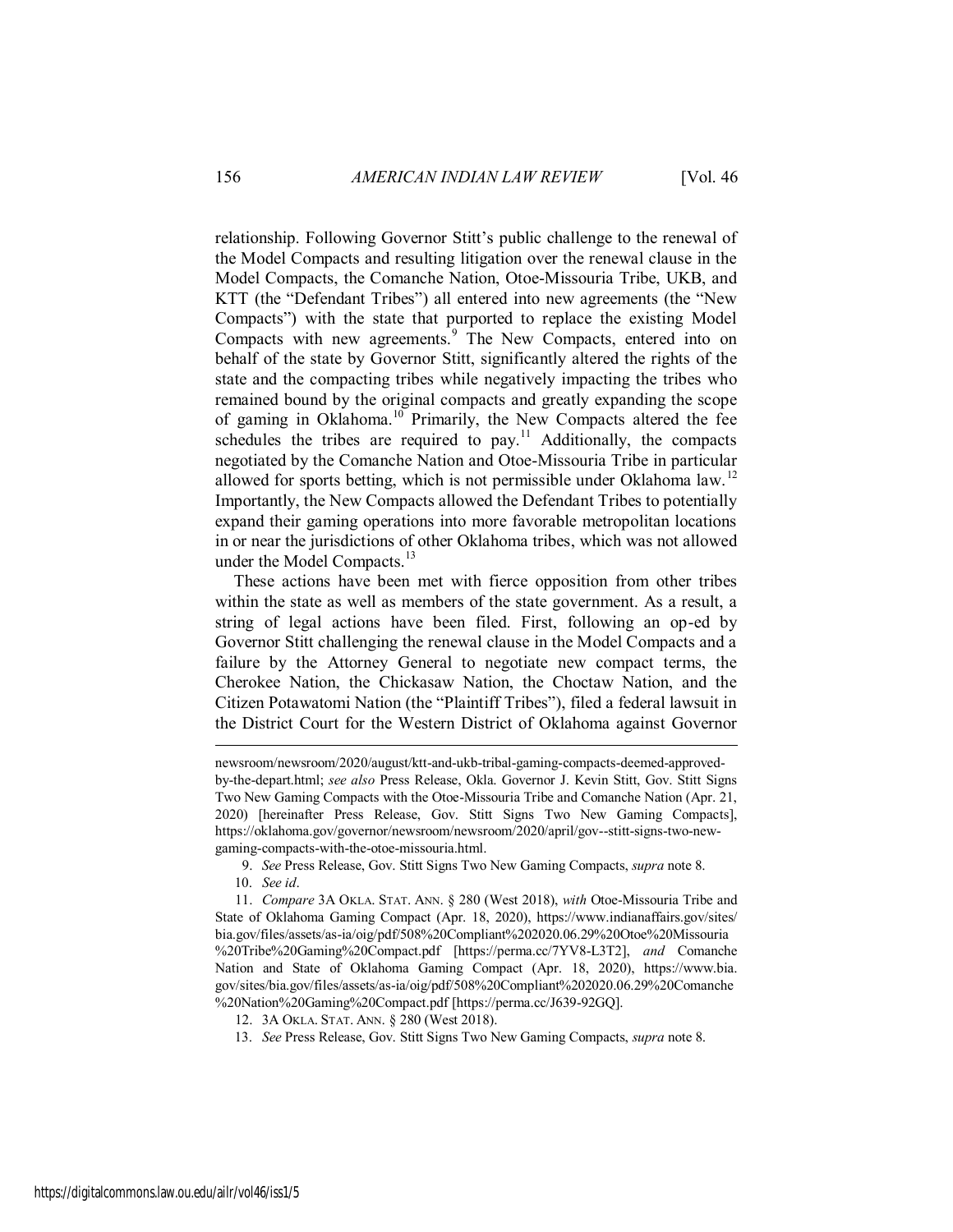relationship. Following Governor Stitt's public challenge to the renewal of the Model Compacts and resulting litigation over the renewal clause in the Model Compacts, the Comanche Nation, Otoe-Missouria Tribe, UKB, and KTT (the "Defendant Tribes") all entered into new agreements (the "New Compacts") with the state that purported to replace the existing Model Compacts with new agreements.<sup>9</sup> The New Compacts, entered into on behalf of the state by Governor Stitt, significantly altered the rights of the state and the compacting tribes while negatively impacting the tribes who remained bound by the original compacts and greatly expanding the scope of gaming in Oklahoma.<sup>10</sup> Primarily, the New Compacts altered the fee schedules the tribes are required to pay.<sup>11</sup> Additionally, the compacts negotiated by the Comanche Nation and Otoe-Missouria Tribe in particular allowed for sports betting, which is not permissible under Oklahoma law.<sup>12</sup> Importantly, the New Compacts allowed the Defendant Tribes to potentially expand their gaming operations into more favorable metropolitan locations in or near the jurisdictions of other Oklahoma tribes, which was not allowed under the Model Compacts.<sup>13</sup>

These actions have been met with fierce opposition from other tribes within the state as well as members of the state government. As a result, a string of legal actions have been filed. First, following an op-ed by Governor Stitt challenging the renewal clause in the Model Compacts and a failure by the Attorney General to negotiate new compact terms, the Cherokee Nation, the Chickasaw Nation, the Choctaw Nation, and the Citizen Potawatomi Nation (the "Plaintiff Tribes"), filed a federal lawsuit in the District Court for the Western District of Oklahoma against Governor

9. *See* Press Release, Gov. Stitt Signs Two New Gaming Compacts, *supra* note 8.

 $\overline{a}$ 

11. *Compare* 3A OKLA. STAT. ANN. § 280 (West 2018), *with* Otoe-Missouria Tribe and State of Oklahoma Gaming Compact (Apr. 18, 2020), https://www.indianaffairs.gov/sites/ bia.gov/files/assets/as-ia/oig/pdf/508%20Compliant%202020.06.29%20Otoe%20Missouria %20Tribe%20Gaming%20Compact.pdf [https://perma.cc/7YV8-L3T2], *and* Comanche Nation and State of Oklahoma Gaming Compact (Apr. 18, 2020), https://www.bia. gov/sites/bia.gov/files/assets/as-ia/oig/pdf/508%20Compliant%202020.06.29%20Comanche %20Nation%20Gaming%20Compact.pdf [https://perma.cc/J639-92GQ].

13. *See* Press Release, Gov. Stitt Signs Two New Gaming Compacts, *supra* note 8.

newsroom/newsroom/2020/august/ktt-and-ukb-tribal-gaming-compacts-deemed-approvedby-the-depart.html; *see also* Press Release, Okla. Governor J. Kevin Stitt, Gov. Stitt Signs Two New Gaming Compacts with the Otoe-Missouria Tribe and Comanche Nation (Apr. 21, 2020) [hereinafter Press Release, Gov. Stitt Signs Two New Gaming Compacts], https://oklahoma.gov/governor/newsroom/newsroom/2020/april/gov--stitt-signs-two-newgaming-compacts-with-the-otoe-missouria.html.

<sup>10.</sup> *See id*.

<sup>12. 3</sup>A OKLA. STAT. ANN. § 280 (West 2018).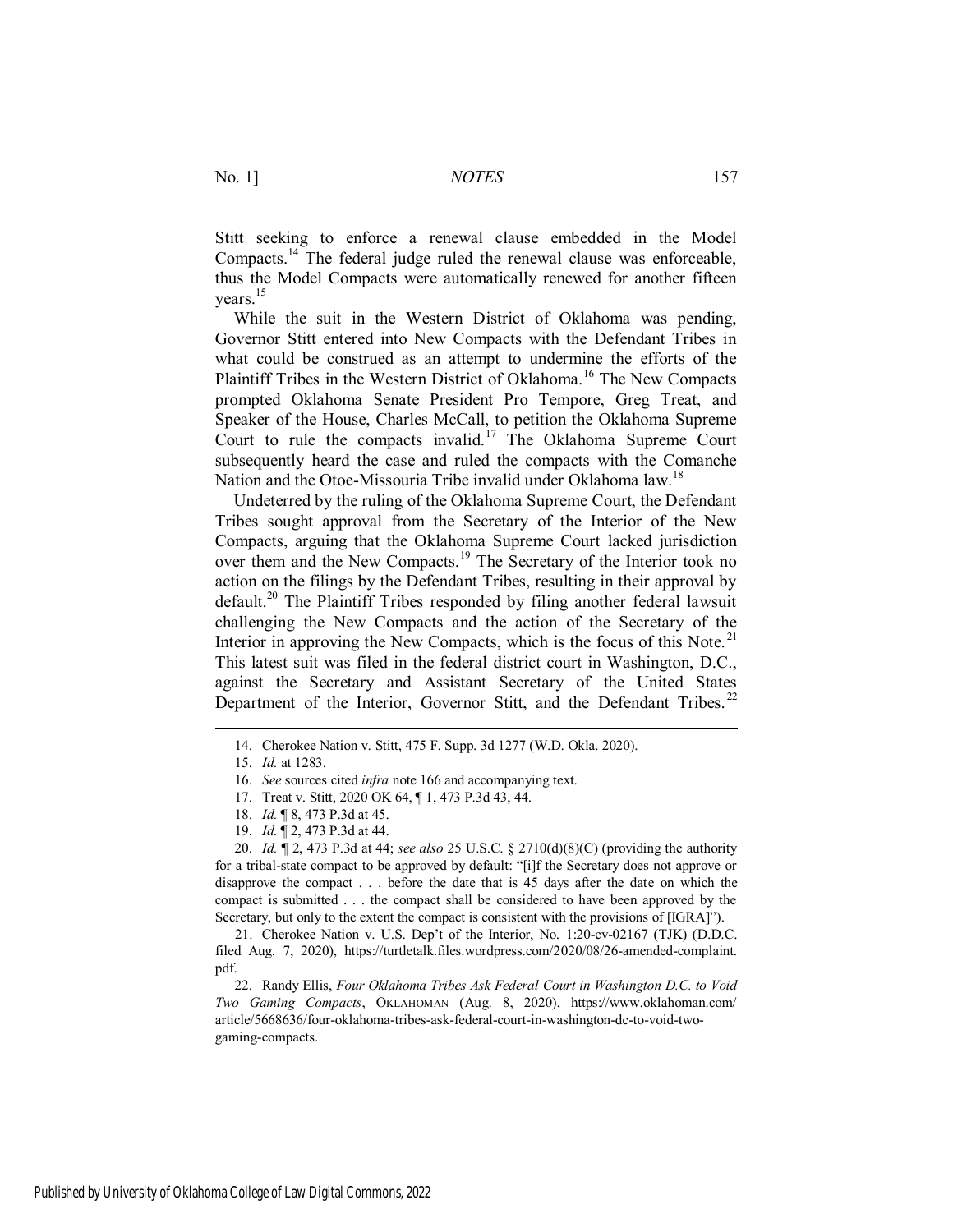Stitt seeking to enforce a renewal clause embedded in the Model Compacts.<sup>14</sup> The federal judge ruled the renewal clause was enforceable, thus the Model Compacts were automatically renewed for another fifteen years.<sup>15</sup>

While the suit in the Western District of Oklahoma was pending, Governor Stitt entered into New Compacts with the Defendant Tribes in what could be construed as an attempt to undermine the efforts of the Plaintiff Tribes in the Western District of Oklahoma.<sup>16</sup> The New Compacts prompted Oklahoma Senate President Pro Tempore, Greg Treat, and Speaker of the House, Charles McCall, to petition the Oklahoma Supreme Court to rule the compacts invalid.<sup>17</sup> The Oklahoma Supreme Court subsequently heard the case and ruled the compacts with the Comanche Nation and the Otoe-Missouria Tribe invalid under Oklahoma law.<sup>18</sup>

Undeterred by the ruling of the Oklahoma Supreme Court, the Defendant Tribes sought approval from the Secretary of the Interior of the New Compacts, arguing that the Oklahoma Supreme Court lacked jurisdiction over them and the New Compacts.<sup>19</sup> The Secretary of the Interior took no action on the filings by the Defendant Tribes, resulting in their approval by default.<sup>20</sup> The Plaintiff Tribes responded by filing another federal lawsuit challenging the New Compacts and the action of the Secretary of the Interior in approving the New Compacts, which is the focus of this Note.<sup>21</sup> This latest suit was filed in the federal district court in Washington, D.C., against the Secretary and Assistant Secretary of the United States Department of the Interior, Governor Stitt, and the Defendant Tribes.<sup>22</sup>

 $\overline{a}$ 

20. *Id.* ¶ 2, 473 P.3d at 44; *see also* 25 U.S.C. § 2710(d)(8)(C) (providing the authority for a tribal-state compact to be approved by default: "[i]f the Secretary does not approve or disapprove the compact . . . before the date that is 45 days after the date on which the compact is submitted . . . the compact shall be considered to have been approved by the Secretary, but only to the extent the compact is consistent with the provisions of [IGRA]").

21. Cherokee Nation v. U.S. Dep't of the Interior, No. 1:20-cv-02167 (TJK) (D.D.C. filed Aug. 7, 2020), https://turtletalk.files.wordpress.com/2020/08/26-amended-complaint. pdf.

22. Randy Ellis, *Four Oklahoma Tribes Ask Federal Court in Washington D.C. to Void Two Gaming Compacts*, OKLAHOMAN (Aug. 8, 2020), https://www.oklahoman.com/ article/5668636/four-oklahoma-tribes-ask-federal-court-in-washington-dc-to-void-twogaming-compacts.

<sup>14.</sup> Cherokee Nation v. Stitt, 475 F. Supp. 3d 1277 (W.D. Okla. 2020).

<sup>15.</sup> *Id.* at 1283.

<sup>16.</sup> *See* sources cited *infra* note 166 and accompanying text.

<sup>17.</sup> Treat v. Stitt, 2020 OK 64, ¶ 1, 473 P.3d 43, 44.

<sup>18.</sup> *Id.* ¶ 8, 473 P.3d at 45.

<sup>19.</sup> *Id.* ¶ 2, 473 P.3d at 44.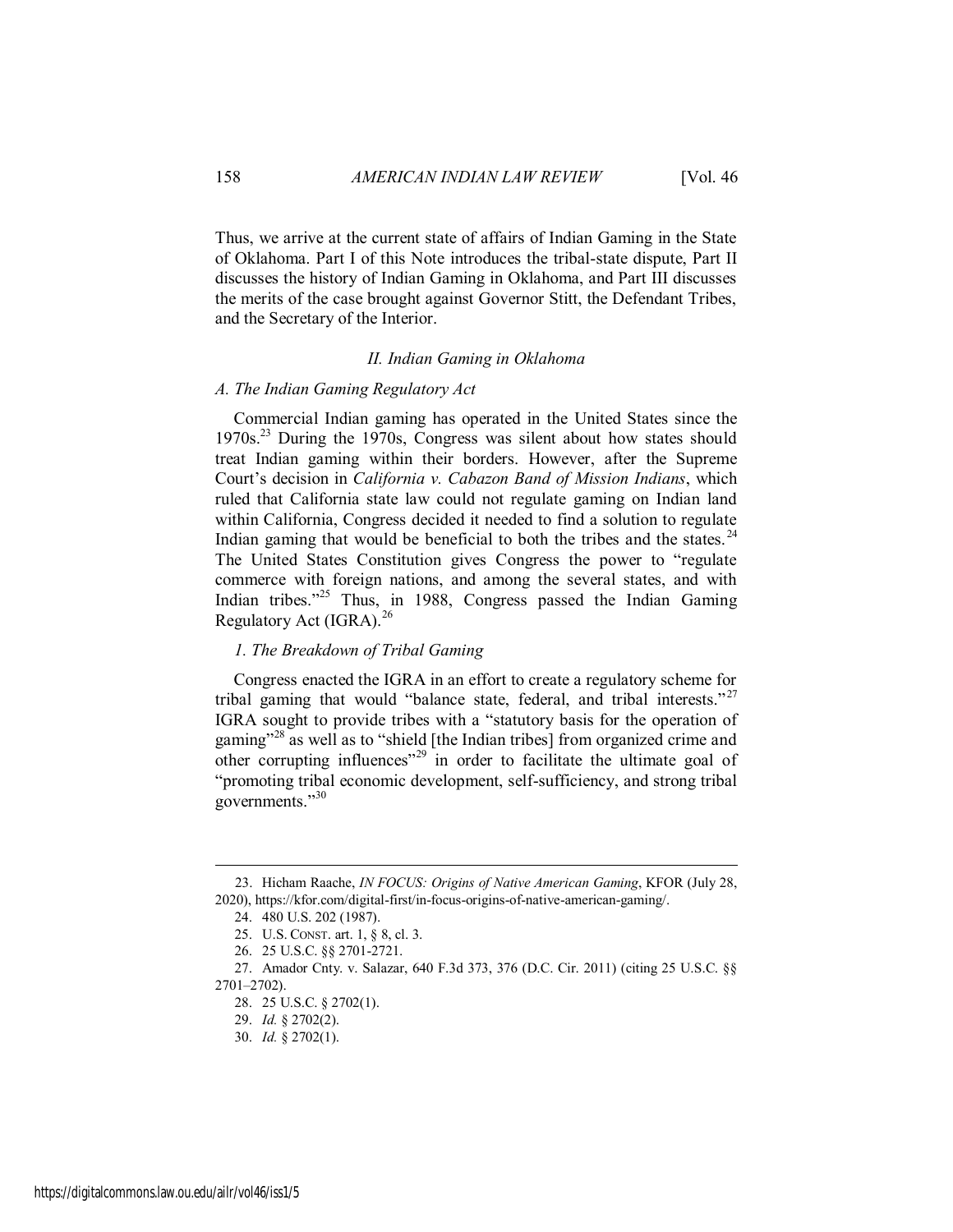Thus, we arrive at the current state of affairs of Indian Gaming in the State of Oklahoma. Part I of this Note introduces the tribal-state dispute, Part II discusses the history of Indian Gaming in Oklahoma, and Part III discusses the merits of the case brought against Governor Stitt, the Defendant Tribes, and the Secretary of the Interior.

### *II. Indian Gaming in Oklahoma*

#### *A. The Indian Gaming Regulatory Act*

Commercial Indian gaming has operated in the United States since the 1970s.<sup>23</sup> During the 1970s, Congress was silent about how states should treat Indian gaming within their borders. However, after the Supreme Court's decision in *California v. Cabazon Band of Mission Indians*, which ruled that California state law could not regulate gaming on Indian land within California, Congress decided it needed to find a solution to regulate Indian gaming that would be beneficial to both the tribes and the states.  $24$ The United States Constitution gives Congress the power to "regulate commerce with foreign nations, and among the several states, and with Indian tribes."<sup>25</sup> Thus, in 1988, Congress passed the Indian Gaming Regulatory Act  $(IGRA)^{26}$ 

### *1. The Breakdown of Tribal Gaming*

Congress enacted the IGRA in an effort to create a regulatory scheme for tribal gaming that would "balance state, federal, and tribal interests."<sup>27</sup> IGRA sought to provide tribes with a "statutory basis for the operation of gaming"<sup>28</sup> as well as to "shield [the Indian tribes] from organized crime and other corrupting influences<sup> $29$ </sup> in order to facilitate the ultimate goal of "promoting tribal economic development, self-sufficiency, and strong tribal governments."<sup>30</sup>

<sup>23.</sup> Hicham Raache, *IN FOCUS: Origins of Native American Gaming*, KFOR (July 28, 2020), https://kfor.com/digital-first/in-focus-origins-of-native-american-gaming/.

<sup>24. 480</sup> U.S. 202 (1987).

<sup>25.</sup> U.S. CONST. art. 1, § 8, cl. 3.

<sup>26. 25</sup> U.S.C. §§ 2701-2721.

<sup>27.</sup> Amador Cnty. v. Salazar, 640 F.3d 373, 376 (D.C. Cir. 2011) (citing 25 U.S.C. §§ 2701–2702).

<sup>28. 25</sup> U.S.C. § 2702(1).

<sup>29.</sup> *Id.* § 2702(2).

<sup>30.</sup> *Id.* § 2702(1).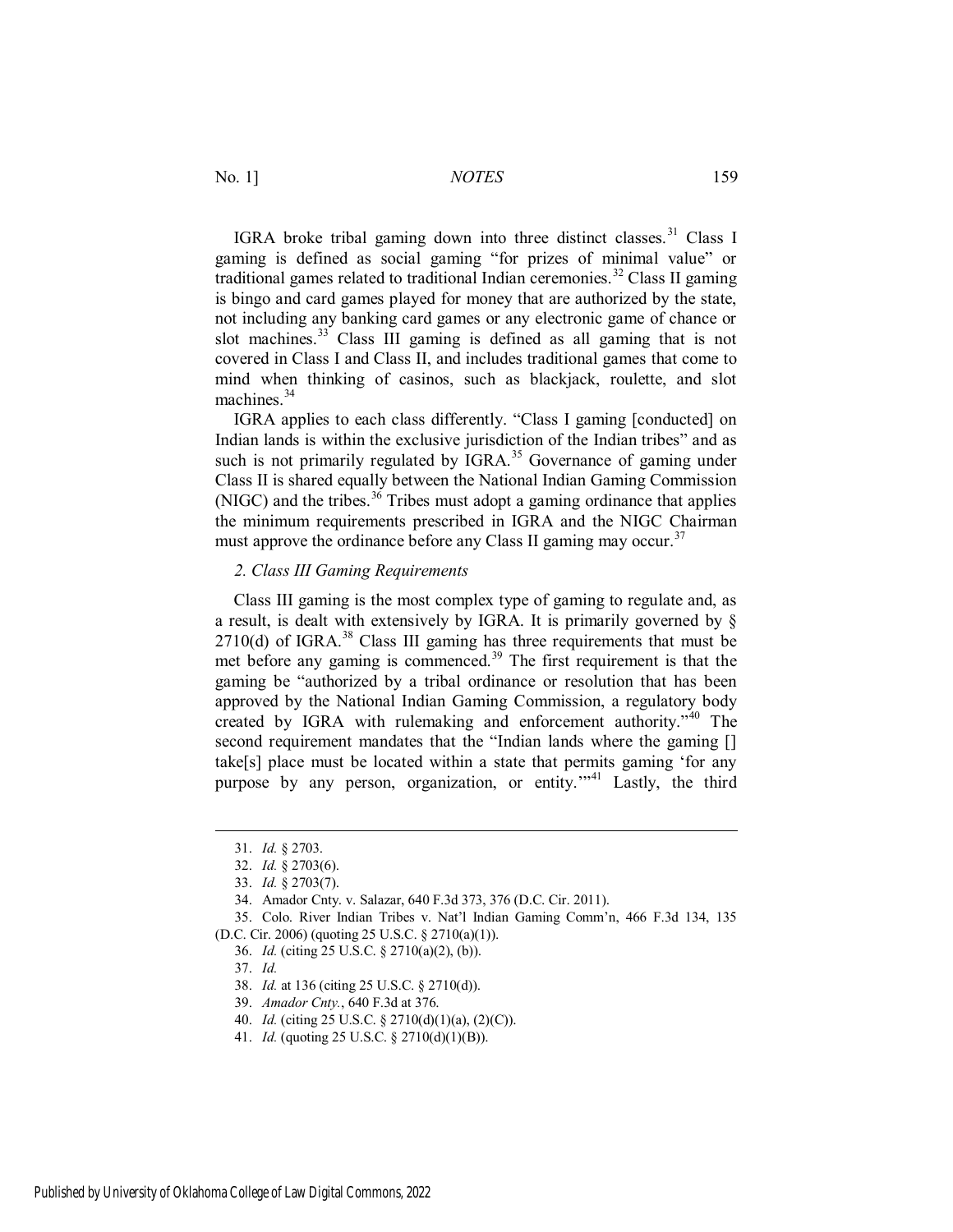IGRA broke tribal gaming down into three distinct classes.<sup>31</sup> Class I gaming is defined as social gaming "for prizes of minimal value" or traditional games related to traditional Indian ceremonies.<sup>32</sup> Class II gaming is bingo and card games played for money that are authorized by the state, not including any banking card games or any electronic game of chance or slot machines.<sup>33</sup> Class III gaming is defined as all gaming that is not covered in Class I and Class II, and includes traditional games that come to mind when thinking of casinos, such as blackjack, roulette, and slot machines $34$ 

IGRA applies to each class differently. "Class I gaming [conducted] on Indian lands is within the exclusive jurisdiction of the Indian tribes" and as such is not primarily regulated by IGRA.<sup>35</sup> Governance of gaming under Class II is shared equally between the National Indian Gaming Commission (NIGC) and the tribes. $36$  Tribes must adopt a gaming ordinance that applies the minimum requirements prescribed in IGRA and the NIGC Chairman must approve the ordinance before any Class II gaming may occur.<sup>37</sup>

#### *2. Class III Gaming Requirements*

Class III gaming is the most complex type of gaming to regulate and, as a result, is dealt with extensively by IGRA. It is primarily governed by §  $2710(d)$  of IGRA.<sup>38</sup> Class III gaming has three requirements that must be met before any gaming is commenced.<sup>39</sup> The first requirement is that the gaming be "authorized by a tribal ordinance or resolution that has been approved by the National Indian Gaming Commission, a regulatory body created by IGRA with rulemaking and enforcement authority."<sup>40</sup> The second requirement mandates that the "Indian lands where the gaming [] take[s] place must be located within a state that permits gaming 'for any purpose by any person, organization, or entity."<sup>41</sup> Lastly, the third

<sup>31.</sup> *Id.* § 2703.

<sup>32.</sup> *Id.* § 2703(6).

<sup>33.</sup> *Id.* § 2703(7).

<sup>34.</sup> Amador Cnty. v. Salazar, 640 F.3d 373, 376 (D.C. Cir. 2011).

<sup>35.</sup> Colo. River Indian Tribes v. Nat'l Indian Gaming Comm'n, 466 F.3d 134, 135 (D.C. Cir. 2006) (quoting 25 U.S.C. § 2710(a)(1)).

<sup>36.</sup> *Id.* (citing 25 U.S.C. § 2710(a)(2), (b)).

<sup>37.</sup> *Id.* 

<sup>38.</sup> *Id.* at 136 (citing 25 U.S.C. § 2710(d)).

<sup>39.</sup> *Amador Cnty.*, 640 F.3d at 376.

<sup>40.</sup> *Id.* (citing 25 U.S.C. § 2710(d)(1)(a), (2)(C)).

<sup>41.</sup> *Id.* (quoting 25 U.S.C. § 2710(d)(1)(B)).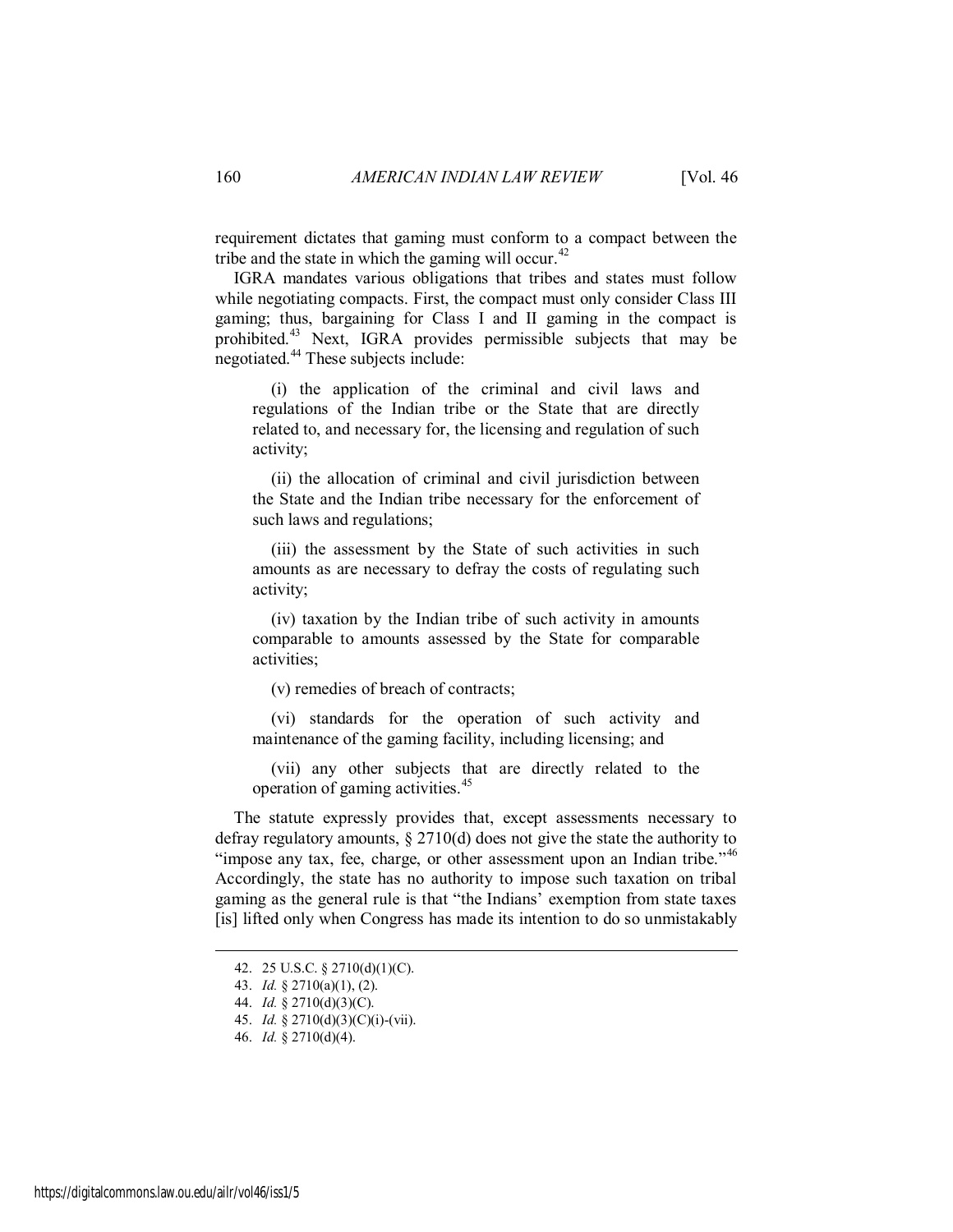requirement dictates that gaming must conform to a compact between the tribe and the state in which the gaming will occur.<sup>42</sup>

IGRA mandates various obligations that tribes and states must follow while negotiating compacts. First, the compact must only consider Class III gaming; thus, bargaining for Class I and II gaming in the compact is prohibited.<sup>43</sup> Next, IGRA provides permissible subjects that may be negotiated.<sup>44</sup> These subjects include:

 (i) the application of the criminal and civil laws and regulations of the Indian tribe or the State that are directly related to, and necessary for, the licensing and regulation of such activity;

 (ii) the allocation of criminal and civil jurisdiction between the State and the Indian tribe necessary for the enforcement of such laws and regulations;

 (iii) the assessment by the State of such activities in such amounts as are necessary to defray the costs of regulating such activity;

 (iv) taxation by the Indian tribe of such activity in amounts comparable to amounts assessed by the State for comparable activities;

(v) remedies of breach of contracts;

 (vi) standards for the operation of such activity and maintenance of the gaming facility, including licensing; and

 (vii) any other subjects that are directly related to the operation of gaming activities.<sup>45</sup>

The statute expressly provides that, except assessments necessary to defray regulatory amounts, § 2710(d) does not give the state the authority to "impose any tax, fee, charge, or other assessment upon an Indian tribe."<sup>46</sup> Accordingly, the state has no authority to impose such taxation on tribal gaming as the general rule is that "the Indians' exemption from state taxes [is] lifted only when Congress has made its intention to do so unmistakably

<sup>42. 25</sup> U.S.C. § 2710(d)(1)(C).

<sup>43.</sup> *Id.* § 2710(a)(1), (2).

<sup>44.</sup> *Id.* § 2710(d)(3)(C).

<sup>45.</sup> *Id.* § 2710(d)(3)(C)(i)-(vii).

<sup>46.</sup> *Id.* § 2710(d)(4).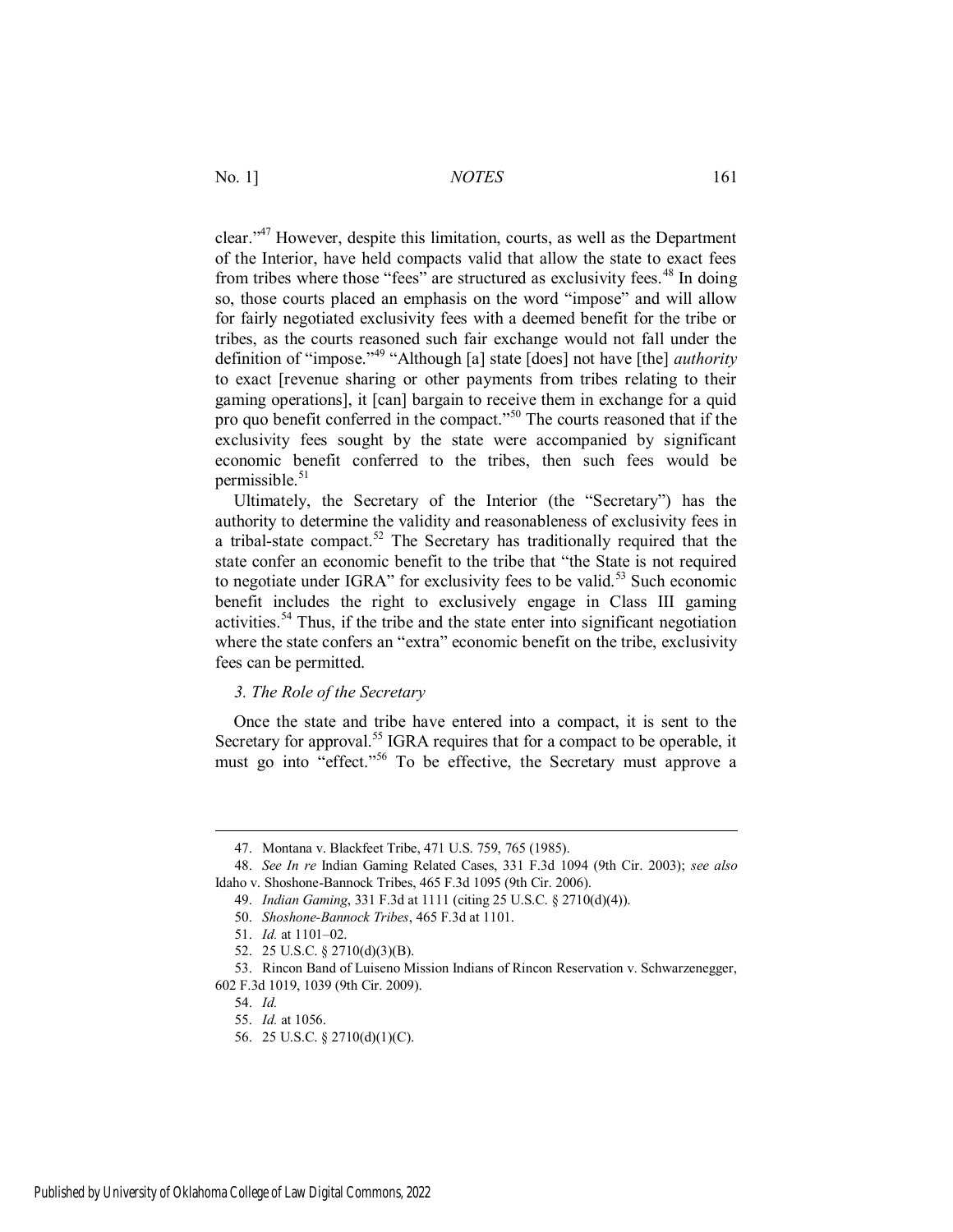clear."<sup>47</sup> However, despite this limitation, courts, as well as the Department of the Interior, have held compacts valid that allow the state to exact fees from tribes where those "fees" are structured as exclusivity fees.<sup>48</sup> In doing so, those courts placed an emphasis on the word "impose" and will allow for fairly negotiated exclusivity fees with a deemed benefit for the tribe or tribes, as the courts reasoned such fair exchange would not fall under the definition of "impose."<sup>49</sup> "Although [a] state [does] not have [the] *authority* to exact [revenue sharing or other payments from tribes relating to their gaming operations], it [can] bargain to receive them in exchange for a quid pro quo benefit conferred in the compact."<sup>50</sup> The courts reasoned that if the exclusivity fees sought by the state were accompanied by significant economic benefit conferred to the tribes, then such fees would be permissible. $51$ 

Ultimately, the Secretary of the Interior (the "Secretary") has the authority to determine the validity and reasonableness of exclusivity fees in a tribal-state compact.<sup>52</sup> The Secretary has traditionally required that the state confer an economic benefit to the tribe that "the State is not required to negotiate under IGRA" for exclusivity fees to be valid.<sup>53</sup> Such economic benefit includes the right to exclusively engage in Class III gaming activities.<sup>54</sup> Thus, if the tribe and the state enter into significant negotiation where the state confers an "extra" economic benefit on the tribe, exclusivity fees can be permitted.

#### *3. The Role of the Secretary*

Once the state and tribe have entered into a compact, it is sent to the Secretary for approval.<sup>55</sup> IGRA requires that for a compact to be operable, it must go into "effect."<sup>56</sup> To be effective, the Secretary must approve a

<sup>47.</sup> Montana v. Blackfeet Tribe, 471 U.S. 759, 765 (1985).

<sup>48.</sup> *See In re* Indian Gaming Related Cases, 331 F.3d 1094 (9th Cir. 2003); *see also* Idaho v. Shoshone-Bannock Tribes, 465 F.3d 1095 (9th Cir. 2006).

<sup>49.</sup> *Indian Gaming*, 331 F.3d at 1111 (citing 25 U.S.C. § 2710(d)(4)).

<sup>50.</sup> *Shoshone-Bannock Tribes*, 465 F.3d at 1101.

<sup>51.</sup> *Id.* at 1101–02.

<sup>52. 25</sup> U.S.C. § 2710(d)(3)(B).

<sup>53.</sup> Rincon Band of Luiseno Mission Indians of Rincon Reservation v. Schwarzenegger, 602 F.3d 1019, 1039 (9th Cir. 2009).

<sup>54.</sup> *Id.*

<sup>55.</sup> *Id.* at 1056.

<sup>56. 25</sup> U.S.C. § 2710(d)(1)(C).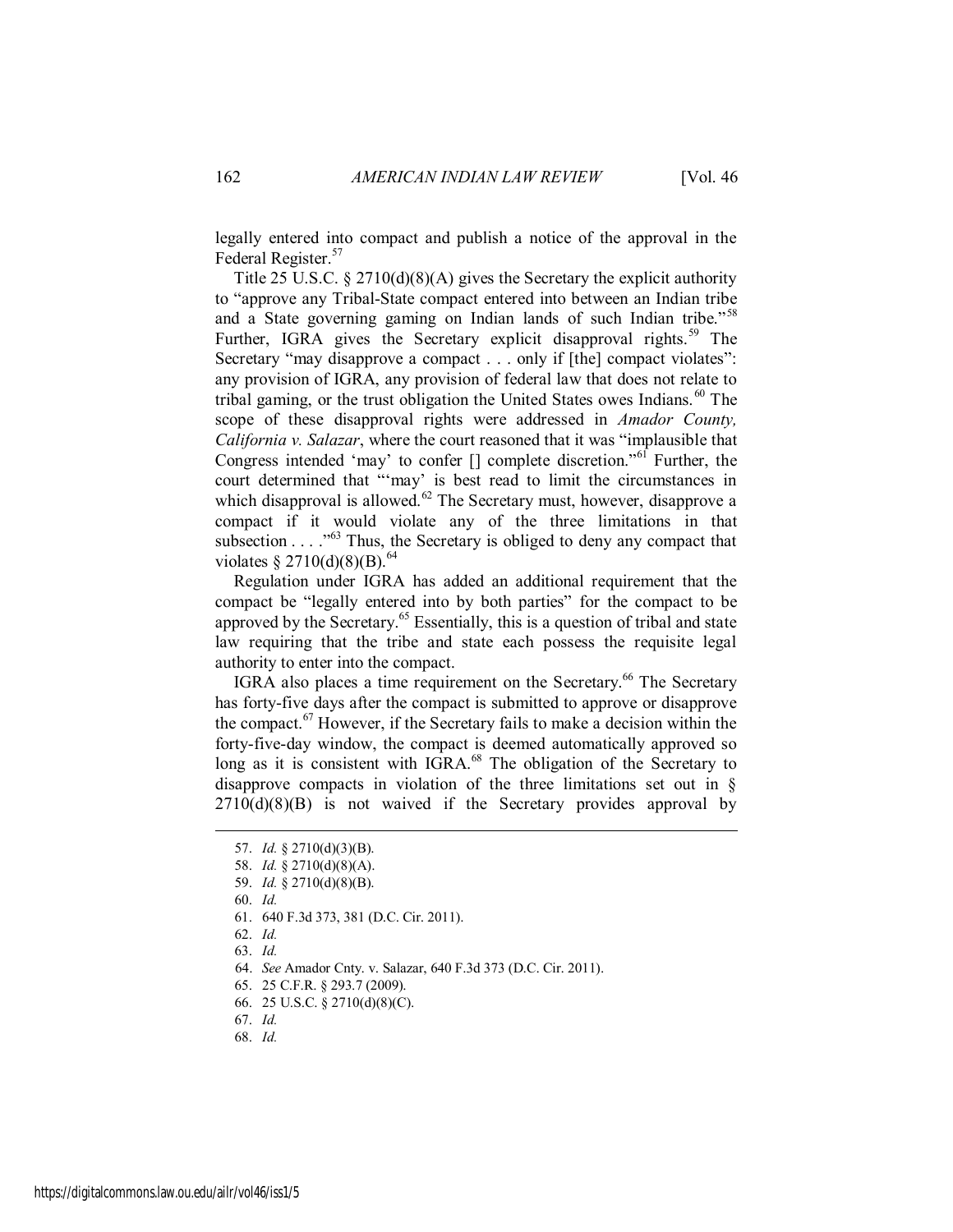legally entered into compact and publish a notice of the approval in the Federal Register.<sup>57</sup>

Title 25 U.S.C. § 2710(d)(8)(A) gives the Secretary the explicit authority to "approve any Tribal-State compact entered into between an Indian tribe and a State governing gaming on Indian lands of such Indian tribe.<sup>558</sup> Further, IGRA gives the Secretary explicit disapproval rights.<sup>59</sup> The Secretary "may disapprove a compact . . . only if [the] compact violates": any provision of IGRA, any provision of federal law that does not relate to tribal gaming, or the trust obligation the United States owes Indians.<sup>60</sup> The scope of these disapproval rights were addressed in *Amador County, California v. Salazar*, where the court reasoned that it was "implausible that Congress intended 'may' to confer  $\lceil \rceil$  complete discretion."<sup>61</sup> Further, the court determined that "'may' is best read to limit the circumstances in which disapproval is allowed.<sup>62</sup> The Secretary must, however, disapprove a compact if it would violate any of the three limitations in that subsection . . . ."<sup>63</sup> Thus, the Secretary is obliged to deny any compact that violates § 2710(d)(8)(B).<sup>64</sup>

Regulation under IGRA has added an additional requirement that the compact be "legally entered into by both parties" for the compact to be approved by the Secretary.<sup>65</sup> Essentially, this is a question of tribal and state law requiring that the tribe and state each possess the requisite legal authority to enter into the compact.

IGRA also places a time requirement on the Secretary.<sup>66</sup> The Secretary has forty-five days after the compact is submitted to approve or disapprove the compact.<sup>67</sup> However, if the Secretary fails to make a decision within the forty-five-day window, the compact is deemed automatically approved so long as it is consistent with IGRA.<sup>68</sup> The obligation of the Secretary to disapprove compacts in violation of the three limitations set out in §  $2710(d)(8)(B)$  is not waived if the Secretary provides approval by

60. *Id.*

 $\overline{a}$ 

62. *Id.*

63. *Id.*

67. *Id.* 

<sup>57.</sup> *Id.* § 2710(d)(3)(B).

<sup>58.</sup> *Id.* § 2710(d)(8)(A).

<sup>59.</sup> *Id.* § 2710(d)(8)(B).

<sup>61. 640</sup> F.3d 373, 381 (D.C. Cir. 2011).

<sup>64.</sup> *See* Amador Cnty. v. Salazar, 640 F.3d 373 (D.C. Cir. 2011).

<sup>65. 25</sup> C.F.R. § 293.7 (2009).

<sup>66. 25</sup> U.S.C. § 2710(d)(8)(C).

<sup>68.</sup> *Id.*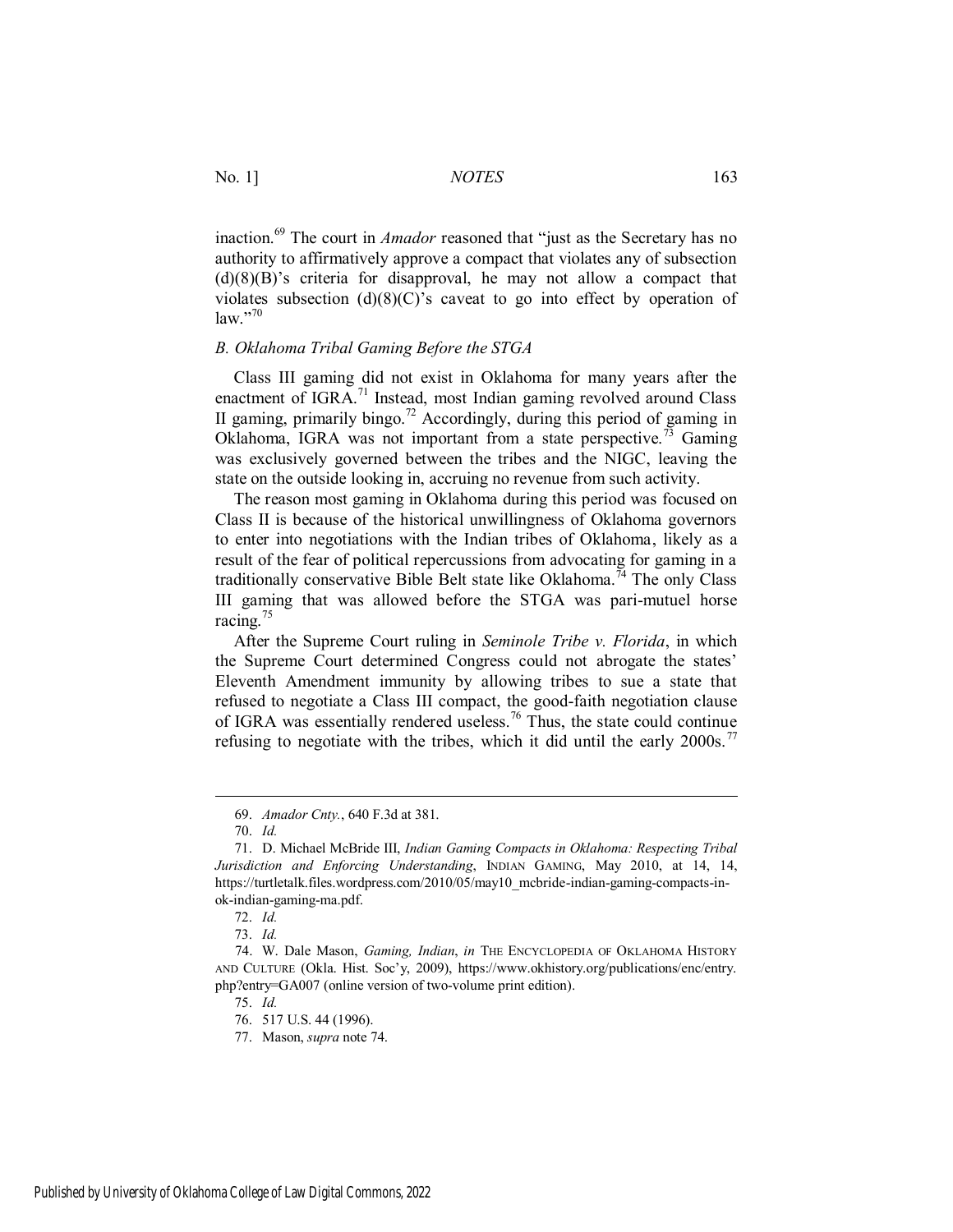inaction.<sup>69</sup> The court in *Amador* reasoned that "just as the Secretary has no authority to affirmatively approve a compact that violates any of subsection  $(d)(8)(B)$ 's criteria for disapproval, he may not allow a compact that violates subsection  $(d)(8)(C)$ 's caveat to go into effect by operation of law."70

#### *B. Oklahoma Tribal Gaming Before the STGA*

Class III gaming did not exist in Oklahoma for many years after the enactment of IGRA.<sup>71</sup> Instead, most Indian gaming revolved around Class II gaming, primarily bingo.<sup>72</sup> Accordingly, during this period of gaming in Oklahoma, IGRA was not important from a state perspective.<sup>73</sup> Gaming was exclusively governed between the tribes and the NIGC, leaving the state on the outside looking in, accruing no revenue from such activity.

The reason most gaming in Oklahoma during this period was focused on Class II is because of the historical unwillingness of Oklahoma governors to enter into negotiations with the Indian tribes of Oklahoma, likely as a result of the fear of political repercussions from advocating for gaming in a traditionally conservative Bible Belt state like Oklahoma.<sup>74</sup> The only Class III gaming that was allowed before the STGA was pari-mutuel horse racing.<sup>75</sup>

After the Supreme Court ruling in *Seminole Tribe v. Florida*, in which the Supreme Court determined Congress could not abrogate the states' Eleventh Amendment immunity by allowing tribes to sue a state that refused to negotiate a Class III compact, the good-faith negotiation clause of IGRA was essentially rendered useless.<sup>76</sup> Thus, the state could continue refusing to negotiate with the tribes, which it did until the early  $2000s$ .<sup>77</sup>

 $\overline{a}$ 

75. *Id.*

<sup>69.</sup> *Amador Cnty.*, 640 F.3d at 381.

<sup>70.</sup> *Id.*

<sup>71.</sup> D. Michael McBride III, *Indian Gaming Compacts in Oklahoma: Respecting Tribal Jurisdiction and Enforcing Understanding*, INDIAN GAMING, May 2010, at 14, 14, https://turtletalk.files.wordpress.com/2010/05/may10\_mcbride-indian-gaming-compacts-inok-indian-gaming-ma.pdf.

<sup>72.</sup> *Id.*

<sup>73.</sup> *Id.*

<sup>74.</sup> W. Dale Mason, *Gaming, Indian*, *in* THE ENCYCLOPEDIA OF OKLAHOMA HISTORY AND CULTURE (Okla. Hist. Soc'y, 2009), https://www.okhistory.org/publications/enc/entry. php?entry=GA007 (online version of two-volume print edition).

<sup>76. 517</sup> U.S. 44 (1996).

<sup>77.</sup> Mason, *supra* note 74.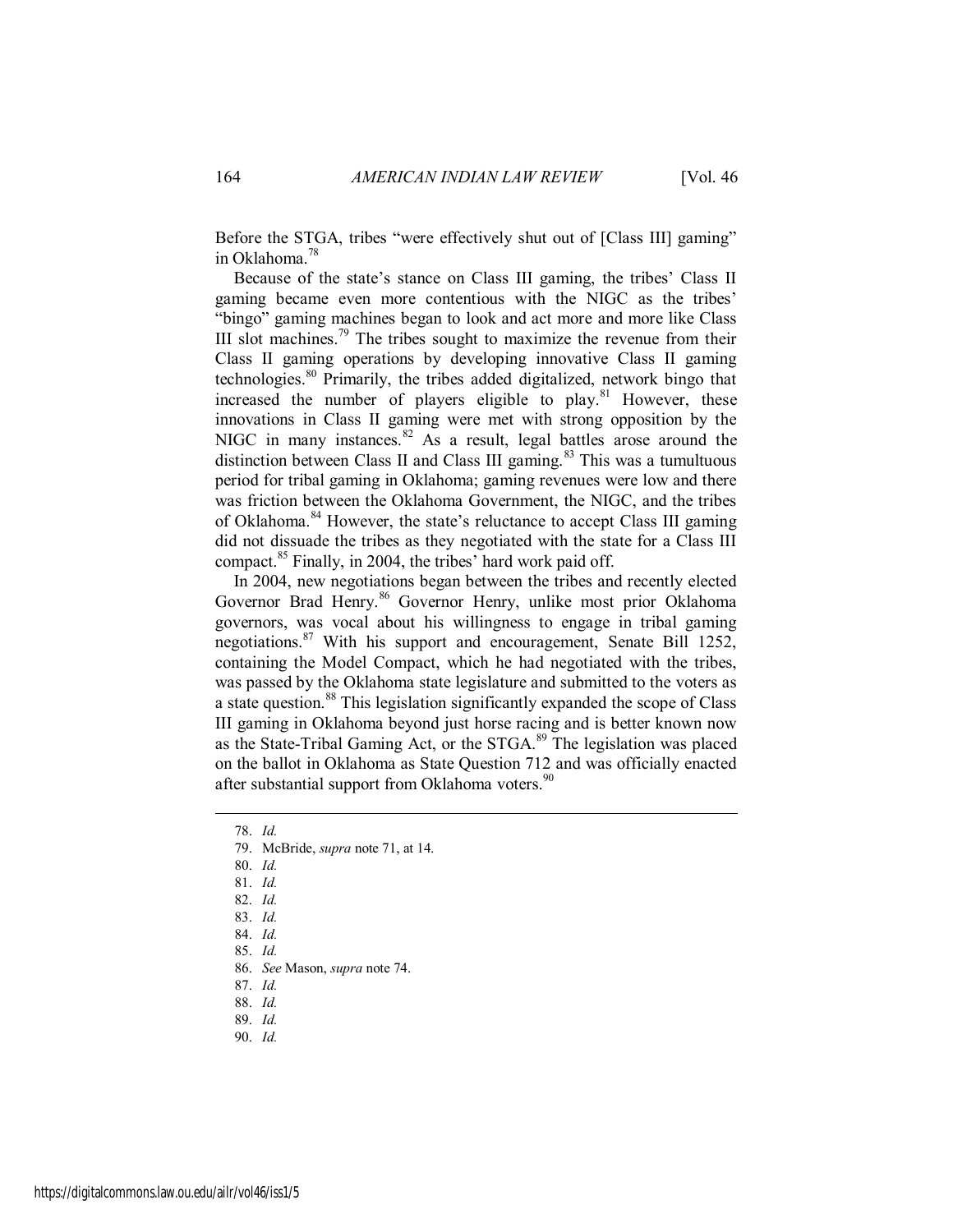Before the STGA, tribes "were effectively shut out of [Class III] gaming" in Oklahoma.<sup>78</sup>

Because of the state's stance on Class III gaming, the tribes' Class II gaming became even more contentious with the NIGC as the tribes' "bingo" gaming machines began to look and act more and more like Class III slot machines.<sup>79</sup> The tribes sought to maximize the revenue from their Class II gaming operations by developing innovative Class II gaming technologies.<sup>80</sup> Primarily, the tribes added digitalized, network bingo that increased the number of players eligible to play.<sup>81</sup> However, these innovations in Class II gaming were met with strong opposition by the NIGC in many instances.  $82$  As a result, legal battles arose around the distinction between Class II and Class III gaming. $83$  This was a tumultuous period for tribal gaming in Oklahoma; gaming revenues were low and there was friction between the Oklahoma Government, the NIGC, and the tribes of Oklahoma.<sup>84</sup> However, the state's reluctance to accept Class III gaming did not dissuade the tribes as they negotiated with the state for a Class III compact.<sup>85</sup> Finally, in 2004, the tribes' hard work paid off.

In 2004, new negotiations began between the tribes and recently elected Governor Brad Henry.<sup>86</sup> Governor Henry, unlike most prior Oklahoma governors, was vocal about his willingness to engage in tribal gaming negotiations.<sup>87</sup> With his support and encouragement, Senate Bill 1252, containing the Model Compact, which he had negotiated with the tribes, was passed by the Oklahoma state legislature and submitted to the voters as a state question.<sup>88</sup> This legislation significantly expanded the scope of Class III gaming in Oklahoma beyond just horse racing and is better known now as the State-Tribal Gaming Act, or the STGA.<sup>89</sup> The legislation was placed on the ballot in Oklahoma as State Question 712 and was officially enacted after substantial support from Oklahoma voters.<sup>90</sup>

- 79. McBride, *supra* note 71, at 14.
- 80. *Id.*
- 81. *Id.*
- 82. *Id.*
- 83. *Id.*
- 84. *Id.*
- 85. *Id.*
- 86. *See* Mason, *supra* note 74.
- 87. *Id.*
- 88. *Id.*
- 89. *Id.*
- 90. *Id.*

<sup>78.</sup> *Id.*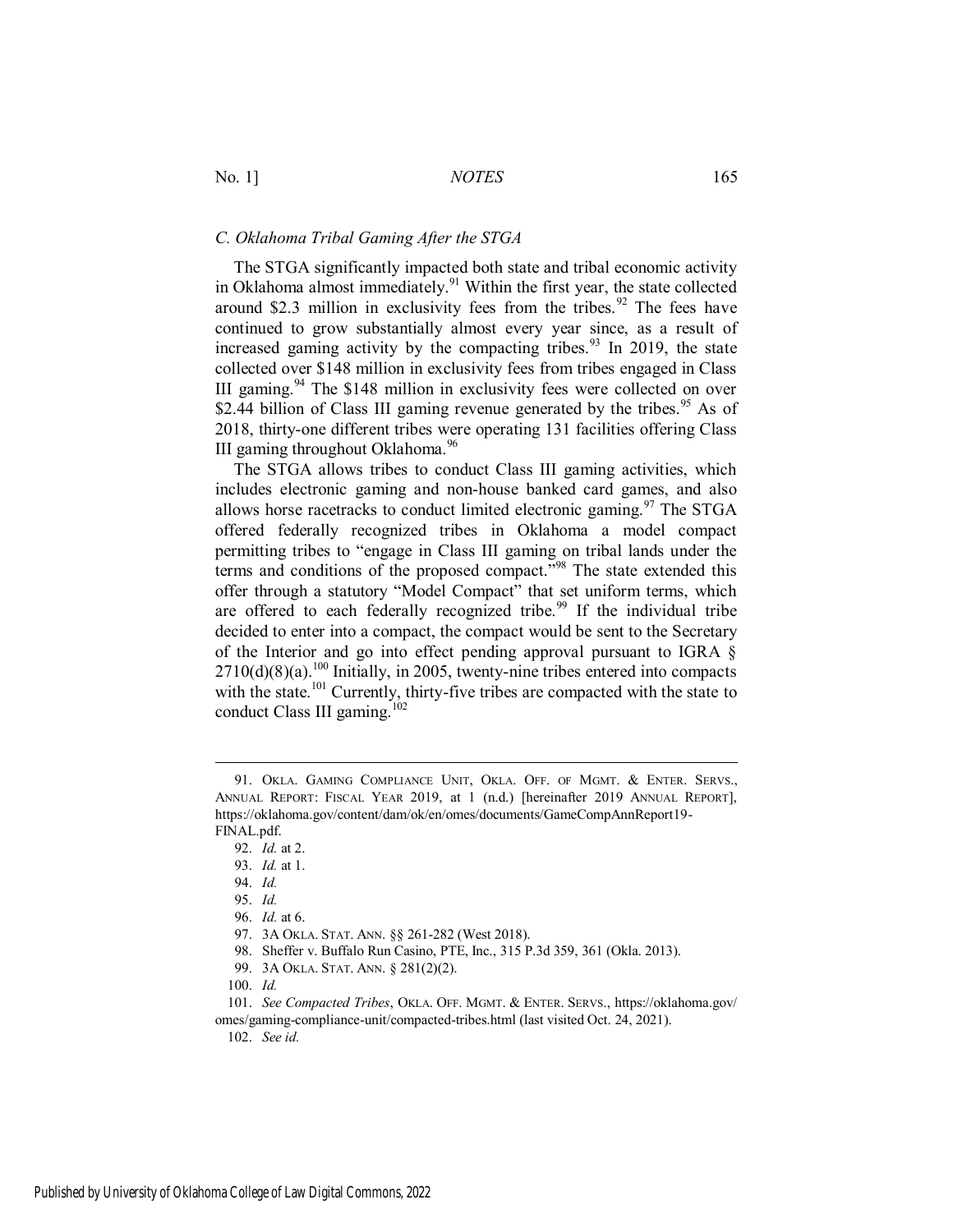#### *C. Oklahoma Tribal Gaming After the STGA*

The STGA significantly impacted both state and tribal economic activity in Oklahoma almost immediately.<sup>91</sup> Within the first year, the state collected around \$2.3 million in exclusivity fees from the tribes.<sup>92</sup> The fees have continued to grow substantially almost every year since, as a result of increased gaming activity by the compacting tribes.<sup>93</sup> In 2019, the state collected over \$148 million in exclusivity fees from tribes engaged in Class III gaming.<sup>94</sup> The \$148 million in exclusivity fees were collected on over \$2.44 billion of Class III gaming revenue generated by the tribes.<sup>95</sup> As of 2018, thirty-one different tribes were operating 131 facilities offering Class III gaming throughout Oklahoma.<sup>96</sup>

The STGA allows tribes to conduct Class III gaming activities, which includes electronic gaming and non-house banked card games, and also allows horse racetracks to conduct limited electronic gaming.<sup>97</sup> The STGA offered federally recognized tribes in Oklahoma a model compact permitting tribes to "engage in Class III gaming on tribal lands under the terms and conditions of the proposed compact."<sup>98</sup> The state extended this offer through a statutory "Model Compact" that set uniform terms, which are offered to each federally recognized tribe.<sup>99</sup> If the individual tribe decided to enter into a compact, the compact would be sent to the Secretary of the Interior and go into effect pending approval pursuant to IGRA §  $2710(d)(8)(a)$ .<sup>100</sup> Initially, in 2005, twenty-nine tribes entered into compacts with the state.<sup>101</sup> Currently, thirty-five tribes are compacted with the state to conduct Class III gaming.<sup>102</sup>

 $\overline{a}$ 

102. *See id.*

<sup>91.</sup> OKLA. GAMING COMPLIANCE UNIT, OKLA. OFF. OF MGMT. & ENTER. SERVS., ANNUAL REPORT: FISCAL YEAR 2019, at 1 (n.d.) [hereinafter 2019 ANNUAL REPORT], https://oklahoma.gov/content/dam/ok/en/omes/documents/GameCompAnnReport19- FINAL.pdf.

<sup>92.</sup> *Id.* at 2.

<sup>93.</sup> *Id.* at 1.

<sup>94.</sup> *Id.*

<sup>95.</sup> *Id.*

<sup>96.</sup> *Id.* at 6.

<sup>97. 3</sup>A OKLA. STAT. ANN. §§ 261-282 (West 2018).

<sup>98.</sup> Sheffer v. Buffalo Run Casino, PTE, Inc., 315 P.3d 359, 361 (Okla. 2013).

<sup>99. 3</sup>A OKLA. STAT. ANN. § 281(2)(2).

<sup>100.</sup> *Id.*

<sup>101.</sup> *See Compacted Tribes*, OKLA. OFF. MGMT. & ENTER. SERVS., https://oklahoma.gov/ omes/gaming-compliance-unit/compacted-tribes.html (last visited Oct. 24, 2021).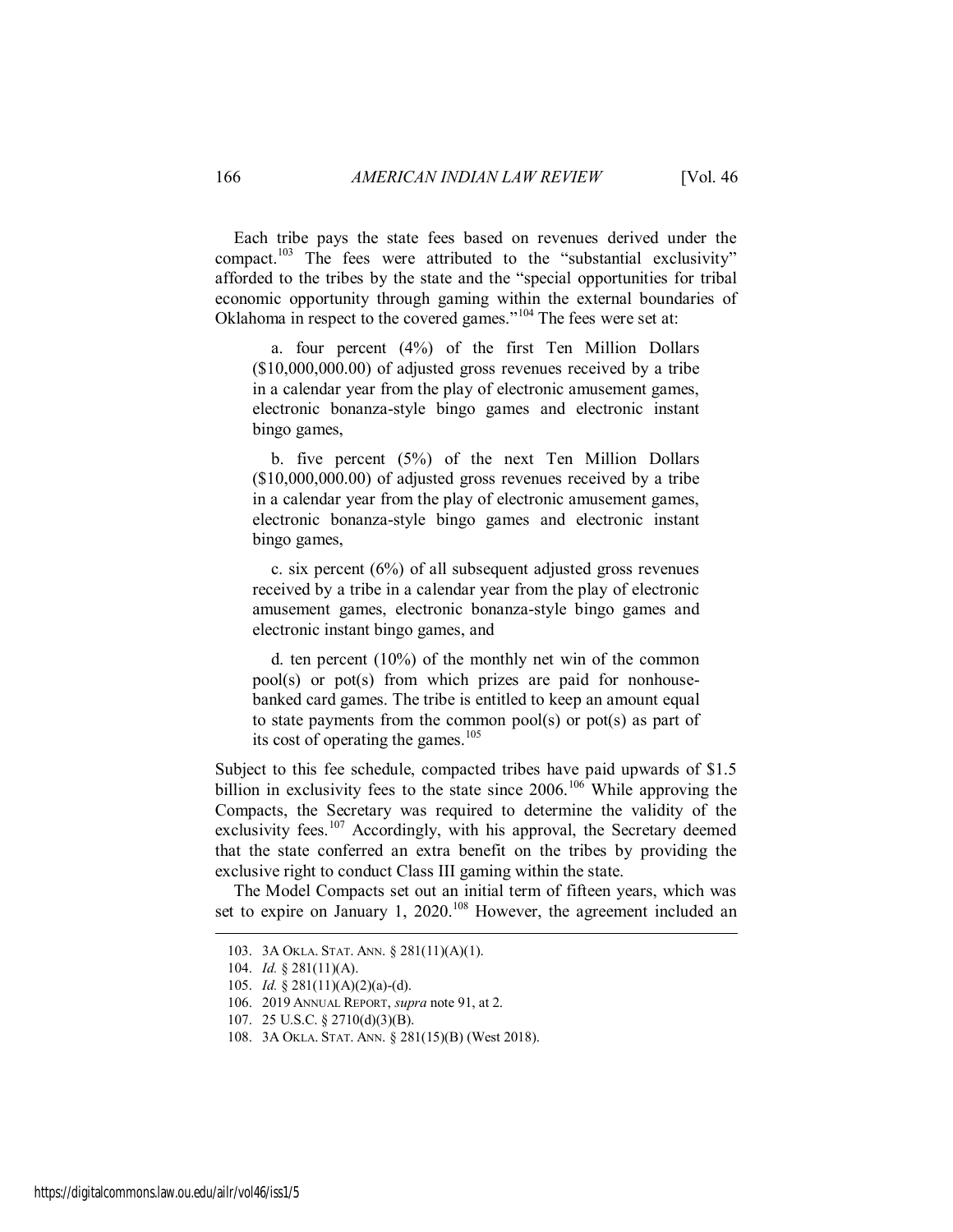Each tribe pays the state fees based on revenues derived under the compact.<sup>103</sup> The fees were attributed to the "substantial exclusivity" afforded to the tribes by the state and the "special opportunities for tribal economic opportunity through gaming within the external boundaries of Oklahoma in respect to the covered games."<sup>104</sup> The fees were set at:

 a. four percent (4%) of the first Ten Million Dollars (\$10,000,000.00) of adjusted gross revenues received by a tribe in a calendar year from the play of electronic amusement games, electronic bonanza-style bingo games and electronic instant bingo games,

 b. five percent (5%) of the next Ten Million Dollars (\$10,000,000.00) of adjusted gross revenues received by a tribe in a calendar year from the play of electronic amusement games, electronic bonanza-style bingo games and electronic instant bingo games,

 c. six percent (6%) of all subsequent adjusted gross revenues received by a tribe in a calendar year from the play of electronic amusement games, electronic bonanza-style bingo games and electronic instant bingo games, and

 d. ten percent (10%) of the monthly net win of the common pool(s) or pot(s) from which prizes are paid for nonhousebanked card games. The tribe is entitled to keep an amount equal to state payments from the common pool(s) or pot(s) as part of its cost of operating the games. $105$ 

Subject to this fee schedule, compacted tribes have paid upwards of \$1.5 billion in exclusivity fees to the state since 2006.<sup>106</sup> While approving the Compacts, the Secretary was required to determine the validity of the exclusivity fees.<sup>107</sup> Accordingly, with his approval, the Secretary deemed that the state conferred an extra benefit on the tribes by providing the exclusive right to conduct Class III gaming within the state.

The Model Compacts set out an initial term of fifteen years, which was set to expire on January 1, 2020.<sup>108</sup> However, the agreement included an

<sup>103. 3</sup>A OKLA. STAT. ANN. § 281(11)(A)(1).

<sup>104.</sup> *Id.* § 281(11)(A).

<sup>105.</sup> *Id.* § 281(11)(A)(2)(a)-(d).

<sup>106. 2019</sup> ANNUAL REPORT, *supra* note 91, at 2.

<sup>107. 25</sup> U.S.C. § 2710(d)(3)(B).

<sup>108. 3</sup>A OKLA. STAT. ANN. § 281(15)(B) (West 2018).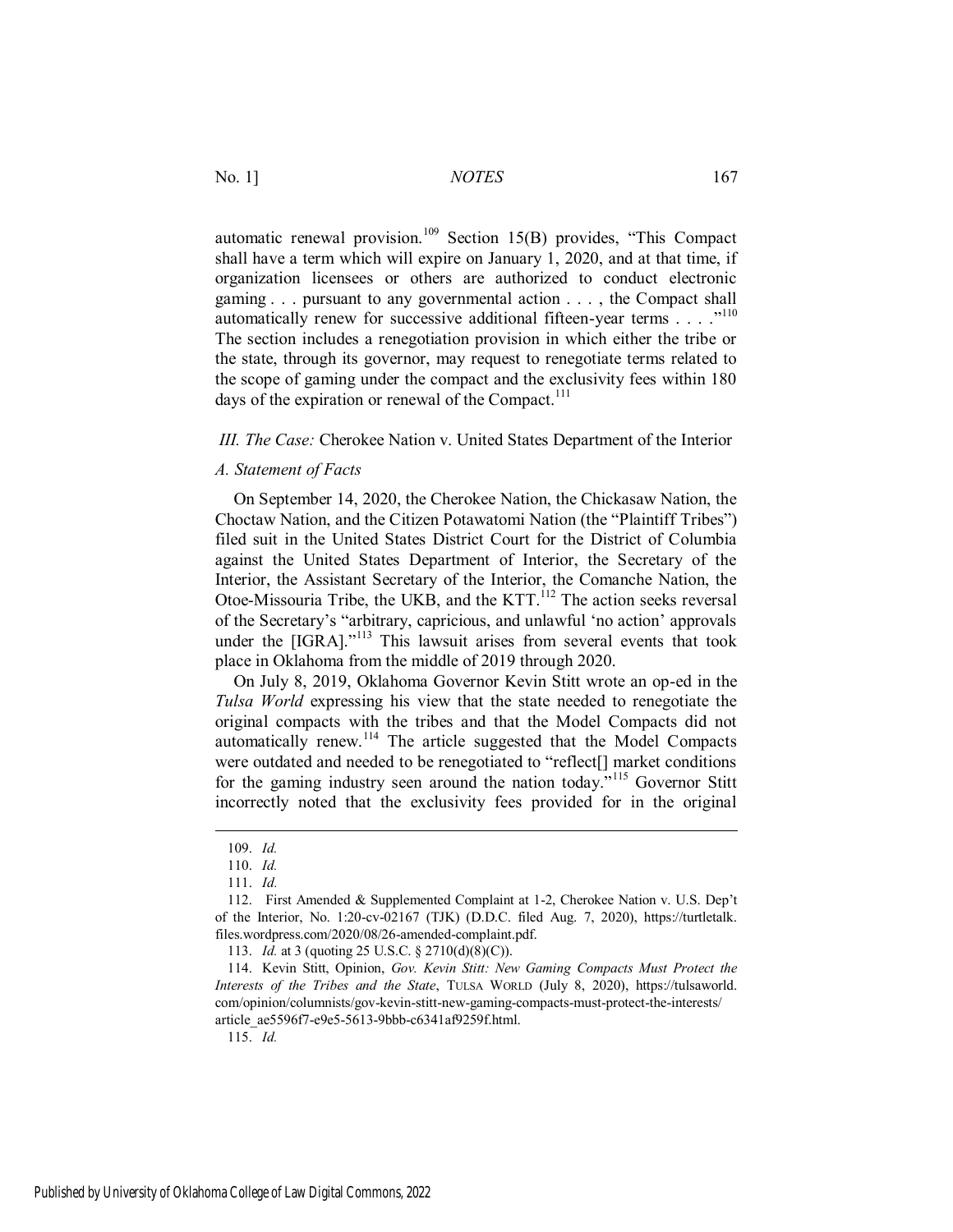automatic renewal provision.<sup>109</sup> Section 15(B) provides, "This Compact shall have a term which will expire on January 1, 2020, and at that time, if organization licensees or others are authorized to conduct electronic gaming . . . pursuant to any governmental action . . . , the Compact shall automatically renew for successive additional fifteen-year terms  $\dots$ ."<sup>110</sup> The section includes a renegotiation provision in which either the tribe or the state, through its governor, may request to renegotiate terms related to the scope of gaming under the compact and the exclusivity fees within 180 days of the expiration or renewal of the Compact.<sup>111</sup>

*III. The Case:* Cherokee Nation v. United States Department of the Interior

# *A. Statement of Facts*

On September 14, 2020, the Cherokee Nation, the Chickasaw Nation, the Choctaw Nation, and the Citizen Potawatomi Nation (the "Plaintiff Tribes") filed suit in the United States District Court for the District of Columbia against the United States Department of Interior, the Secretary of the Interior, the Assistant Secretary of the Interior, the Comanche Nation, the Otoe-Missouria Tribe, the UKB, and the KTT.<sup>112</sup> The action seeks reversal of the Secretary's "arbitrary, capricious, and unlawful 'no action' approvals under the [IGRA]."<sup>113</sup> This lawsuit arises from several events that took place in Oklahoma from the middle of 2019 through 2020.

On July 8, 2019, Oklahoma Governor Kevin Stitt wrote an op-ed in the *Tulsa World* expressing his view that the state needed to renegotiate the original compacts with the tribes and that the Model Compacts did not automatically renew.<sup>114</sup> The article suggested that the Model Compacts were outdated and needed to be renegotiated to "reflect[] market conditions for the gaming industry seen around the nation today."<sup>115</sup> Governor Stitt incorrectly noted that the exclusivity fees provided for in the original

 $\overline{a}$ 

115. *Id.*

<sup>109.</sup> *Id.*

<sup>110.</sup> *Id.* 

<sup>111.</sup> *Id.*

<sup>112.</sup> First Amended & Supplemented Complaint at 1-2, Cherokee Nation v. U.S. Dep't of the Interior, No. 1:20-cv-02167 (TJK) (D.D.C. filed Aug. 7, 2020), https://turtletalk. files.wordpress.com/2020/08/26-amended-complaint.pdf.

<sup>113.</sup> *Id.* at 3 (quoting 25 U.S.C. § 2710(d)(8)(C)).

<sup>114.</sup> Kevin Stitt, Opinion, *Gov. Kevin Stitt: New Gaming Compacts Must Protect the Interests of the Tribes and the State*, TULSA WORLD (July 8, 2020), https://tulsaworld. com/opinion/columnists/gov-kevin-stitt-new-gaming-compacts-must-protect-the-interests/ article\_ae5596f7-e9e5-5613-9bbb-c6341af9259f.html.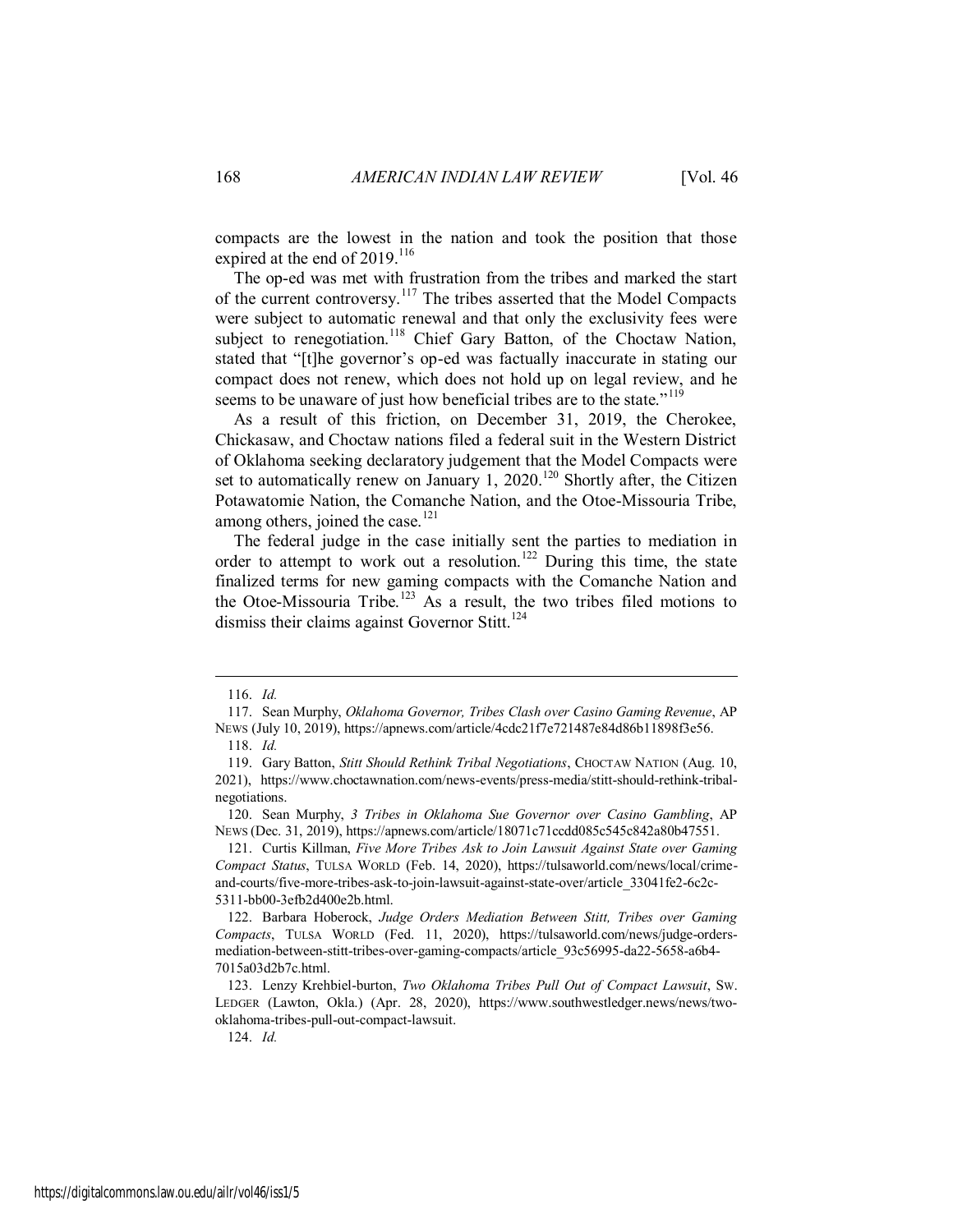compacts are the lowest in the nation and took the position that those expired at the end of  $2019$ .<sup>116</sup>

The op-ed was met with frustration from the tribes and marked the start of the current controversy.<sup>117</sup> The tribes asserted that the Model Compacts were subject to automatic renewal and that only the exclusivity fees were subject to renegotiation.<sup>118</sup> Chief Gary Batton, of the Choctaw Nation, stated that "[t]he governor's op-ed was factually inaccurate in stating our compact does not renew, which does not hold up on legal review, and he seems to be unaware of just how beneficial tribes are to the state."<sup>119</sup>

As a result of this friction, on December 31, 2019, the Cherokee, Chickasaw, and Choctaw nations filed a federal suit in the Western District of Oklahoma seeking declaratory judgement that the Model Compacts were set to automatically renew on January 1, 2020.<sup>120</sup> Shortly after, the Citizen Potawatomie Nation, the Comanche Nation, and the Otoe-Missouria Tribe, among others, joined the case. $121$ 

The federal judge in the case initially sent the parties to mediation in order to attempt to work out a resolution.<sup>122</sup> During this time, the state finalized terms for new gaming compacts with the Comanche Nation and the Otoe-Missouria Tribe.<sup>123</sup> As a result, the two tribes filed motions to dismiss their claims against Governor Stitt.<sup>124</sup>

 $\overline{a}$ 

120. Sean Murphy, *3 Tribes in Oklahoma Sue Governor over Casino Gambling*, AP NEWS (Dec. 31, 2019), https://apnews.com/article/18071c71ccdd085c545c842a80b47551.

124. *Id.*

<sup>116.</sup> *Id.*

<sup>117.</sup> Sean Murphy, *Oklahoma Governor, Tribes Clash over Casino Gaming Revenue*, AP NEWS (July 10, 2019), https://apnews.com/article/4cdc21f7e721487e84d86b11898f3e56.

<sup>118.</sup> *Id.*

<sup>119.</sup> Gary Batton, *Stitt Should Rethink Tribal Negotiations*, CHOCTAW NATION (Aug. 10, 2021), https://www.choctawnation.com/news-events/press-media/stitt-should-rethink-tribalnegotiations.

<sup>121.</sup> Curtis Killman, *Five More Tribes Ask to Join Lawsuit Against State over Gaming Compact Status*, TULSA WORLD (Feb. 14, 2020), https://tulsaworld.com/news/local/crimeand-courts/five-more-tribes-ask-to-join-lawsuit-against-state-over/article\_33041fe2-6c2c-5311-bb00-3efb2d400e2b.html.

<sup>122.</sup> Barbara Hoberock, *Judge Orders Mediation Between Stitt, Tribes over Gaming Compacts*, TULSA WORLD (Fed. 11, 2020), https://tulsaworld.com/news/judge-ordersmediation-between-stitt-tribes-over-gaming-compacts/article\_93c56995-da22-5658-a6b4- 7015a03d2b7c.html.

<sup>123.</sup> Lenzy Krehbiel-burton, *Two Oklahoma Tribes Pull Out of Compact Lawsuit*, SW. LEDGER (Lawton, Okla.) (Apr. 28, 2020), https://www.southwestledger.news/news/twooklahoma-tribes-pull-out-compact-lawsuit.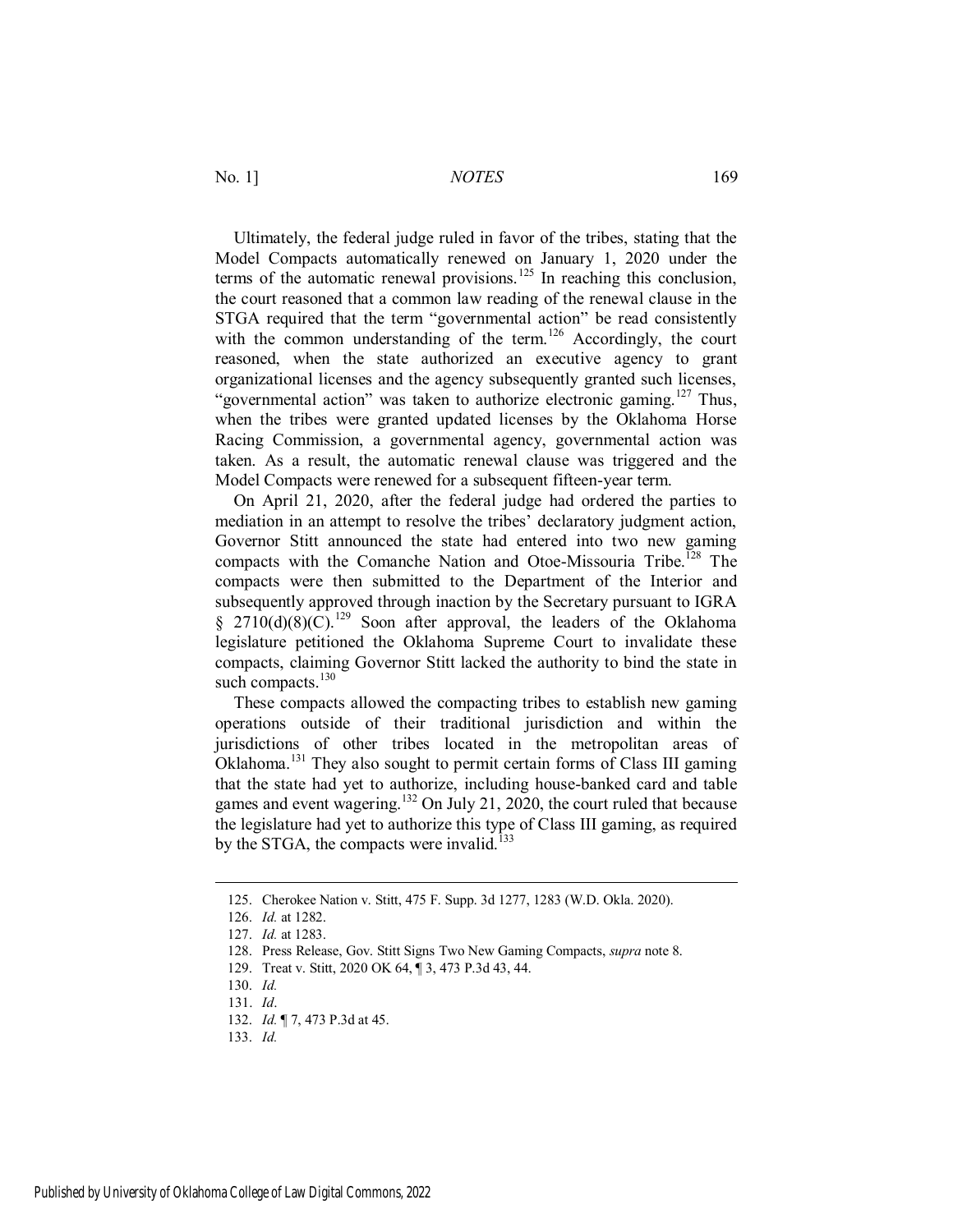Ultimately, the federal judge ruled in favor of the tribes, stating that the Model Compacts automatically renewed on January 1, 2020 under the terms of the automatic renewal provisions.<sup>125</sup> In reaching this conclusion, the court reasoned that a common law reading of the renewal clause in the STGA required that the term "governmental action" be read consistently with the common understanding of the term.<sup>126</sup> Accordingly, the court reasoned, when the state authorized an executive agency to grant organizational licenses and the agency subsequently granted such licenses, "governmental action" was taken to authorize electronic gaming.<sup>127</sup> Thus, when the tribes were granted updated licenses by the Oklahoma Horse Racing Commission, a governmental agency, governmental action was taken. As a result, the automatic renewal clause was triggered and the Model Compacts were renewed for a subsequent fifteen-year term.

On April 21, 2020, after the federal judge had ordered the parties to mediation in an attempt to resolve the tribes' declaratory judgment action, Governor Stitt announced the state had entered into two new gaming compacts with the Comanche Nation and Otoe-Missouria Tribe.<sup>128</sup> The compacts were then submitted to the Department of the Interior and subsequently approved through inaction by the Secretary pursuant to IGRA § 2710(d)(8)( $\overline{C}$ ).<sup>129</sup> Soon after approval, the leaders of the Oklahoma legislature petitioned the Oklahoma Supreme Court to invalidate these compacts, claiming Governor Stitt lacked the authority to bind the state in such compacts. $130$ 

These compacts allowed the compacting tribes to establish new gaming operations outside of their traditional jurisdiction and within the jurisdictions of other tribes located in the metropolitan areas of Oklahoma.<sup>131</sup> They also sought to permit certain forms of Class III gaming that the state had yet to authorize, including house-banked card and table games and event wagering.<sup>132</sup> On July 21, 2020, the court ruled that because the legislature had yet to authorize this type of Class III gaming, as required by the STGA, the compacts were invalid.<sup>133</sup>

<sup>125.</sup> Cherokee Nation v. Stitt, 475 F. Supp. 3d 1277, 1283 (W.D. Okla. 2020).

<sup>126.</sup> *Id.* at 1282.

<sup>127.</sup> *Id.* at 1283.

<sup>128.</sup> Press Release, Gov. Stitt Signs Two New Gaming Compacts, *supra* note 8.

<sup>129.</sup> Treat v. Stitt, 2020 OK 64, ¶ 3, 473 P.3d 43, 44.

<sup>130.</sup> *Id.*

<sup>131.</sup> *Id*.

<sup>132.</sup> *Id.* ¶ 7, 473 P.3d at 45.

<sup>133.</sup> *Id.*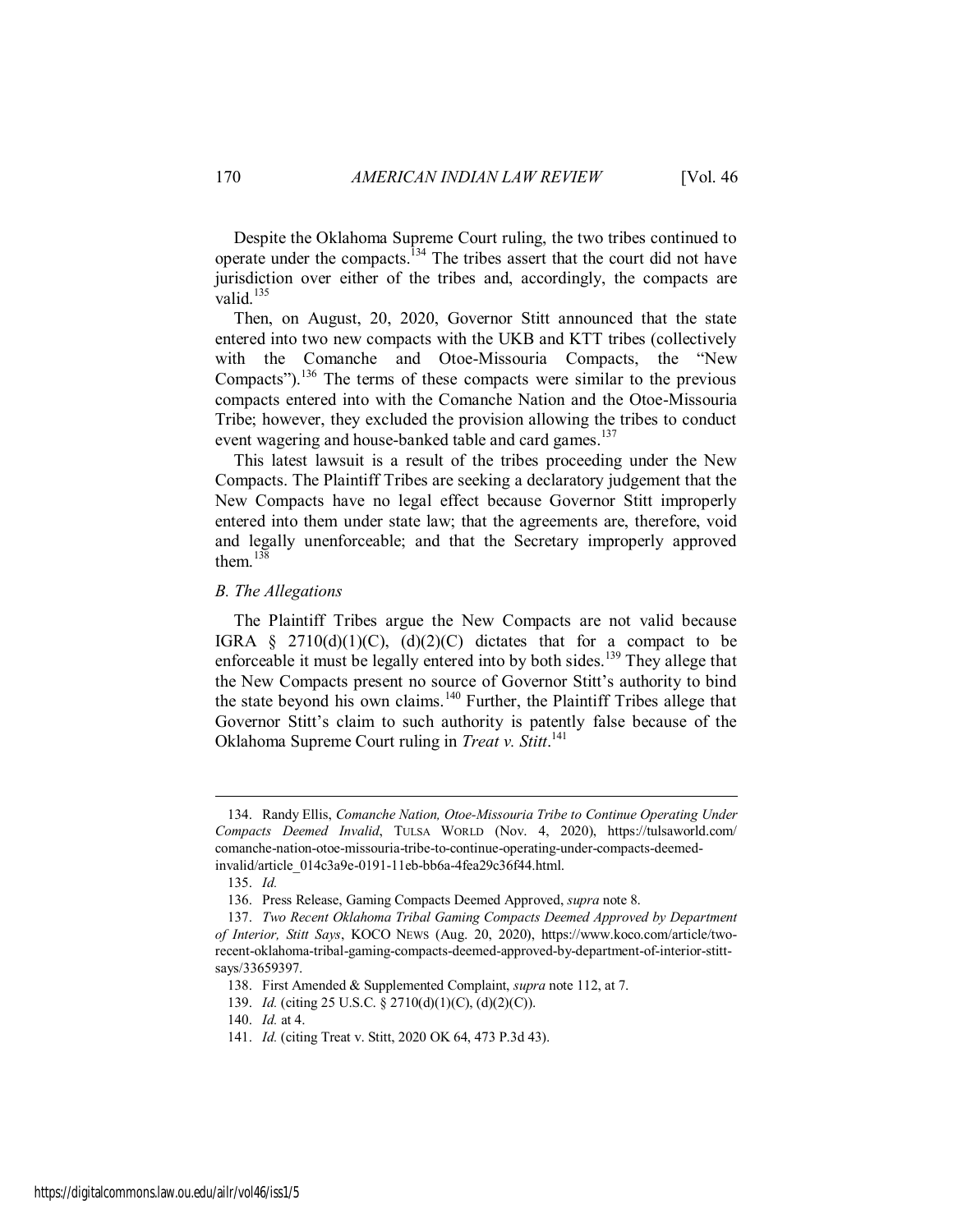Despite the Oklahoma Supreme Court ruling, the two tribes continued to operate under the compacts.<sup>134</sup> The tribes assert that the court did not have jurisdiction over either of the tribes and, accordingly, the compacts are valid. $135$ 

Then, on August, 20, 2020, Governor Stitt announced that the state entered into two new compacts with the UKB and KTT tribes (collectively with the Comanche and Otoe-Missouria Compacts, the "New Compacts").<sup>136</sup> The terms of these compacts were similar to the previous compacts entered into with the Comanche Nation and the Otoe-Missouria Tribe; however, they excluded the provision allowing the tribes to conduct event wagering and house-banked table and card games.<sup>137</sup>

This latest lawsuit is a result of the tribes proceeding under the New Compacts. The Plaintiff Tribes are seeking a declaratory judgement that the New Compacts have no legal effect because Governor Stitt improperly entered into them under state law; that the agreements are, therefore, void and legally unenforceable; and that the Secretary improperly approved them $138$ 

# *B. The Allegations*

The Plaintiff Tribes argue the New Compacts are not valid because IGRA § 2710(d)(1)(C), (d)(2)(C) dictates that for a compact to be enforceable it must be legally entered into by both sides.<sup>139</sup> They allege that the New Compacts present no source of Governor Stitt's authority to bind the state beyond his own claims.<sup>140</sup> Further, the Plaintiff Tribes allege that Governor Stitt's claim to such authority is patently false because of the Oklahoma Supreme Court ruling in *Treat v. Stitt*. 141

<sup>134.</sup> Randy Ellis, *Comanche Nation, Otoe-Missouria Tribe to Continue Operating Under Compacts Deemed Invalid*, TULSA WORLD (Nov. 4, 2020), https://tulsaworld.com/ comanche-nation-otoe-missouria-tribe-to-continue-operating-under-compacts-deemedinvalid/article\_014c3a9e-0191-11eb-bb6a-4fea29c36f44.html.

<sup>135.</sup> *Id.*

<sup>136.</sup> Press Release, Gaming Compacts Deemed Approved, *supra* note 8.

<sup>137.</sup> *Two Recent Oklahoma Tribal Gaming Compacts Deemed Approved by Department of Interior, Stitt Says*, KOCO NEWS (Aug. 20, 2020), https://www.koco.com/article/tworecent-oklahoma-tribal-gaming-compacts-deemed-approved-by-department-of-interior-stittsays/33659397.

<sup>138.</sup> First Amended & Supplemented Complaint, *supra* note 112, at 7.

<sup>139.</sup> *Id.* (citing 25 U.S.C. § 2710(d)(1)(C), (d)(2)(C)).

<sup>140.</sup> *Id.* at 4.

<sup>141.</sup> *Id.* (citing Treat v. Stitt, 2020 OK 64, 473 P.3d 43).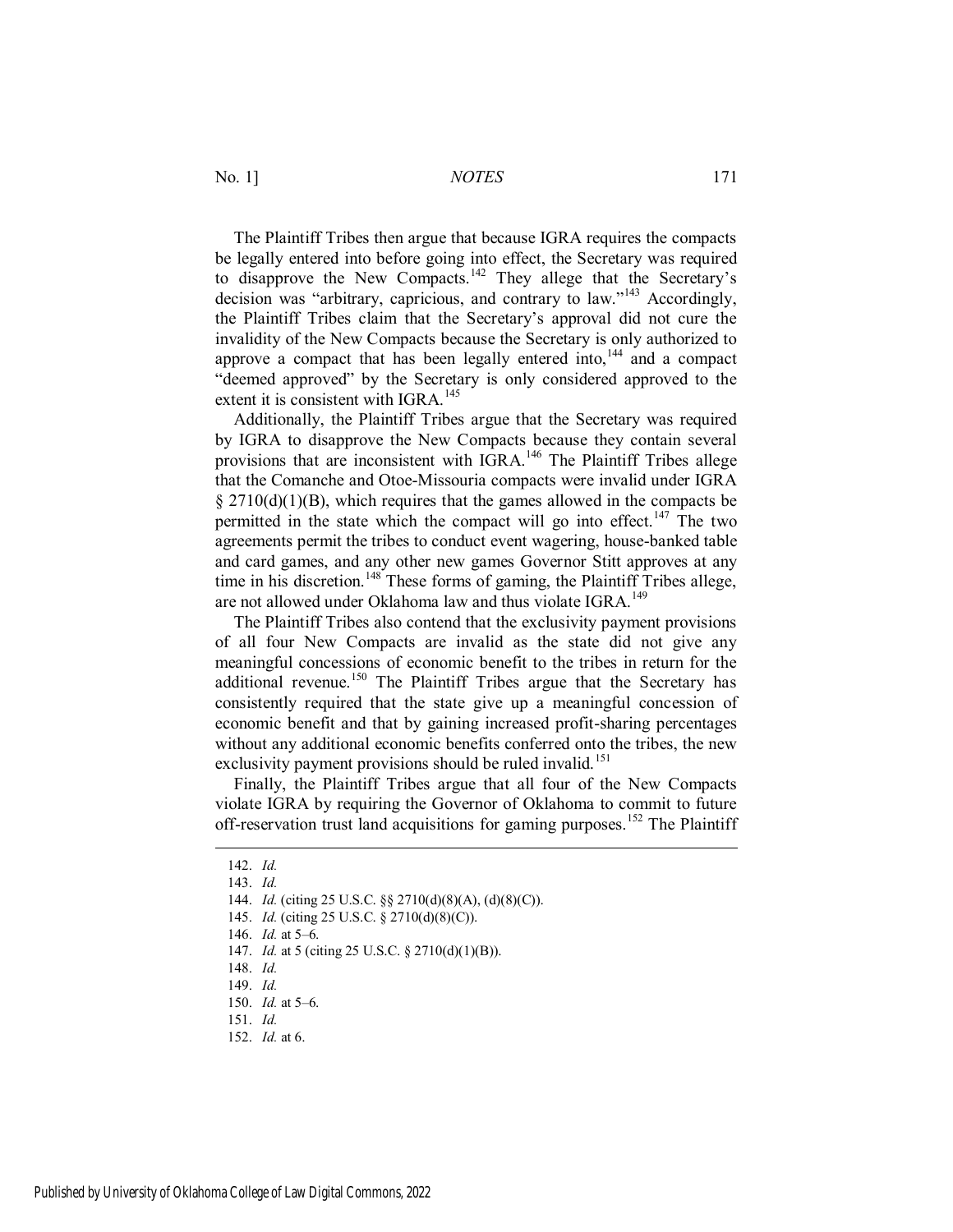The Plaintiff Tribes then argue that because IGRA requires the compacts be legally entered into before going into effect, the Secretary was required to disapprove the New Compacts.<sup>142</sup> They allege that the Secretary's decision was "arbitrary, capricious, and contrary to law."<sup>143</sup> Accordingly, the Plaintiff Tribes claim that the Secretary's approval did not cure the invalidity of the New Compacts because the Secretary is only authorized to approve a compact that has been legally entered into,  $144$  and a compact "deemed approved" by the Secretary is only considered approved to the extent it is consistent with IGRA  $^{145}$ 

Additionally, the Plaintiff Tribes argue that the Secretary was required by IGRA to disapprove the New Compacts because they contain several provisions that are inconsistent with IGRA.<sup>146</sup> The Plaintiff Tribes allege that the Comanche and Otoe-Missouria compacts were invalid under IGRA  $\S 2710(d)(1)(B)$ , which requires that the games allowed in the compacts be permitted in the state which the compact will go into effect.<sup>147</sup> The two agreements permit the tribes to conduct event wagering, house-banked table and card games, and any other new games Governor Stitt approves at any time in his discretion.<sup>148</sup> These forms of gaming, the Plaintiff Tribes allege, are not allowed under Oklahoma law and thus violate IGRA.<sup>149</sup>

The Plaintiff Tribes also contend that the exclusivity payment provisions of all four New Compacts are invalid as the state did not give any meaningful concessions of economic benefit to the tribes in return for the additional revenue.<sup>150</sup> The Plaintiff Tribes argue that the Secretary has consistently required that the state give up a meaningful concession of economic benefit and that by gaining increased profit-sharing percentages without any additional economic benefits conferred onto the tribes, the new exclusivity payment provisions should be ruled invalid.<sup>151</sup>

Finally, the Plaintiff Tribes argue that all four of the New Compacts violate IGRA by requiring the Governor of Oklahoma to commit to future off-reservation trust land acquisitions for gaming purposes.<sup>152</sup> The Plaintiff

<sup>142.</sup> *Id.*

<sup>143.</sup> *Id.*

<sup>144.</sup> *Id.* (citing 25 U.S.C. §§ 2710(d)(8)(A), (d)(8)(C)).

<sup>145.</sup> *Id.* (citing 25 U.S.C. § 2710(d)(8)(C)).

<sup>146.</sup> *Id.* at 5–6.

<sup>147.</sup> *Id.* at 5 (citing 25 U.S.C. § 2710(d)(1)(B)).

<sup>148.</sup> *Id.*

<sup>149.</sup> *Id.*

<sup>150.</sup> *Id.* at 5–6.

<sup>151.</sup> *Id.*

<sup>152.</sup> *Id.* at 6.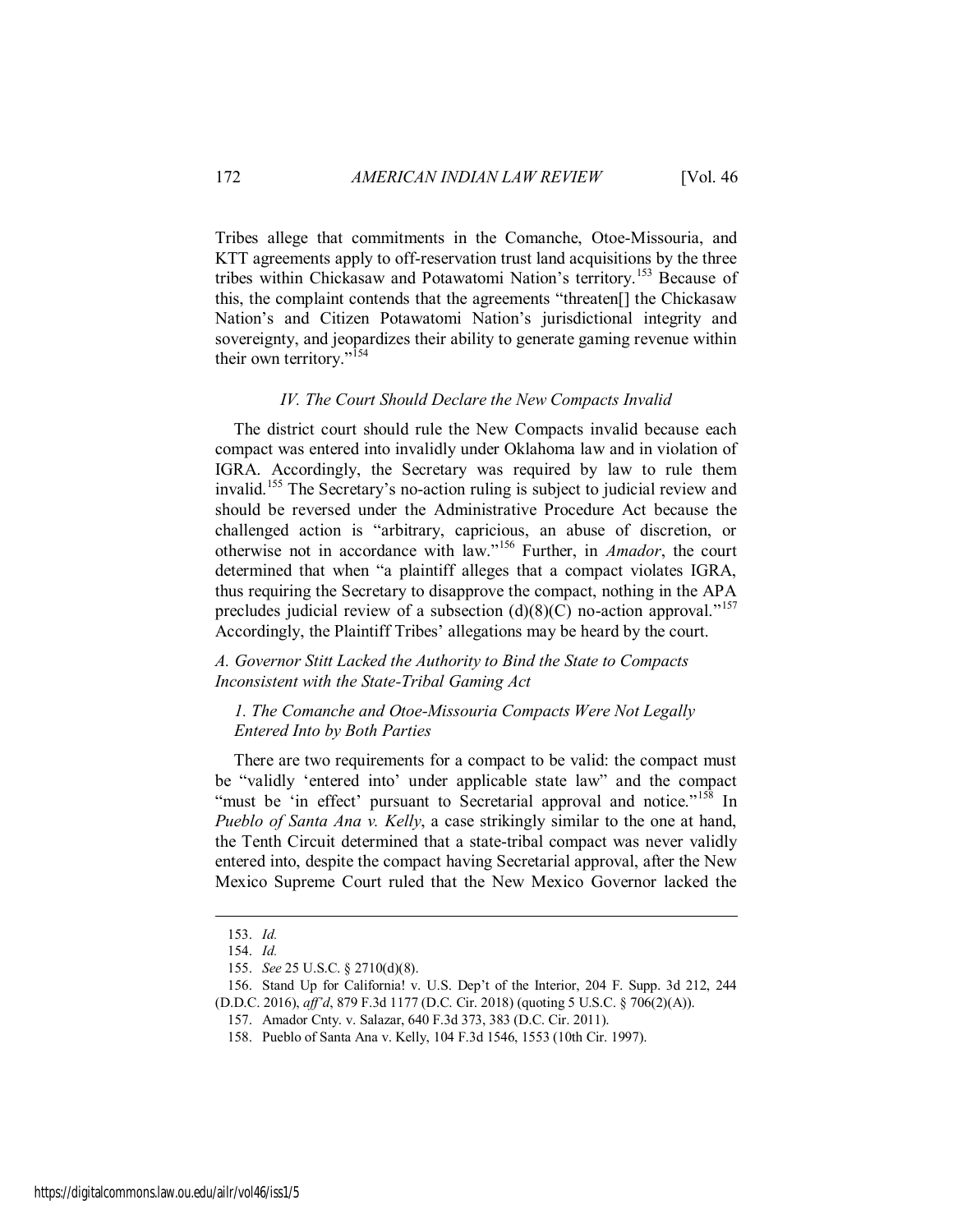Tribes allege that commitments in the Comanche, Otoe-Missouria, and KTT agreements apply to off-reservation trust land acquisitions by the three tribes within Chickasaw and Potawatomi Nation's territory.<sup>153</sup> Because of this, the complaint contends that the agreements "threaten[] the Chickasaw Nation's and Citizen Potawatomi Nation's jurisdictional integrity and sovereignty, and jeopardizes their ability to generate gaming revenue within their own territory."<sup>154</sup>

#### *IV. The Court Should Declare the New Compacts Invalid*

The district court should rule the New Compacts invalid because each compact was entered into invalidly under Oklahoma law and in violation of IGRA. Accordingly, the Secretary was required by law to rule them invalid.<sup>155</sup> The Secretary's no-action ruling is subject to judicial review and should be reversed under the Administrative Procedure Act because the challenged action is "arbitrary, capricious, an abuse of discretion, or otherwise not in accordance with law."<sup>156</sup> Further, in *Amador*, the court determined that when "a plaintiff alleges that a compact violates IGRA, thus requiring the Secretary to disapprove the compact, nothing in the APA precludes judicial review of a subsection  $(d)(8)(C)$  no-action approval."<sup>157</sup> Accordingly, the Plaintiff Tribes' allegations may be heard by the court.

*A. Governor Stitt Lacked the Authority to Bind the State to Compacts Inconsistent with the State-Tribal Gaming Act* 

# *1. The Comanche and Otoe-Missouria Compacts Were Not Legally Entered Into by Both Parties*

There are two requirements for a compact to be valid: the compact must be "validly 'entered into' under applicable state law" and the compact "must be 'in effect' pursuant to Secretarial approval and notice."<sup>158</sup> In *Pueblo of Santa Ana v. Kelly*, a case strikingly similar to the one at hand, the Tenth Circuit determined that a state-tribal compact was never validly entered into, despite the compact having Secretarial approval, after the New Mexico Supreme Court ruled that the New Mexico Governor lacked the

<sup>153.</sup> *Id.*

<sup>154.</sup> *Id.*

<sup>155.</sup> *See* 25 U.S.C. § 2710(d)(8).

<sup>156.</sup> Stand Up for California! v. U.S. Dep't of the Interior, 204 F. Supp. 3d 212, 244

<sup>(</sup>D.D.C. 2016), *aff'd*, 879 F.3d 1177 (D.C. Cir. 2018) (quoting 5 U.S.C. § 706(2)(A)).

<sup>157.</sup> Amador Cnty. v. Salazar, 640 F.3d 373, 383 (D.C. Cir. 2011).

<sup>158.</sup> Pueblo of Santa Ana v. Kelly, 104 F.3d 1546, 1553 (10th Cir. 1997).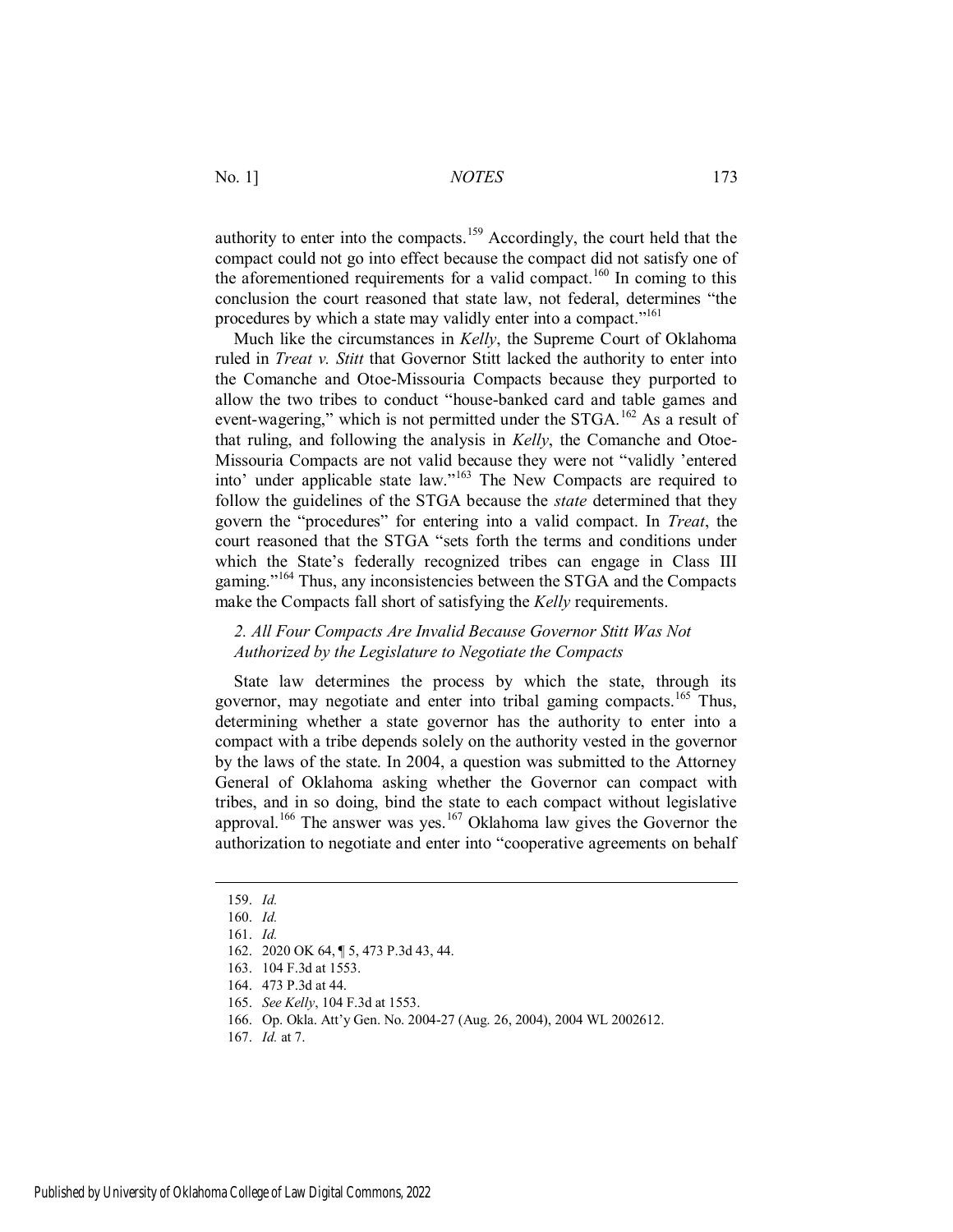authority to enter into the compacts.<sup>159</sup> Accordingly, the court held that the compact could not go into effect because the compact did not satisfy one of the aforementioned requirements for a valid compact.<sup>160</sup> In coming to this conclusion the court reasoned that state law, not federal, determines "the procedures by which a state may validly enter into a compact."<sup>161</sup>

Much like the circumstances in *Kelly*, the Supreme Court of Oklahoma ruled in *Treat v. Stitt* that Governor Stitt lacked the authority to enter into the Comanche and Otoe-Missouria Compacts because they purported to allow the two tribes to conduct "house-banked card and table games and event-wagering," which is not permitted under the STGA.<sup>162</sup> As a result of that ruling, and following the analysis in *Kelly*, the Comanche and Otoe-Missouria Compacts are not valid because they were not "validly 'entered into' under applicable state law."<sup>163</sup> The New Compacts are required to follow the guidelines of the STGA because the *state* determined that they govern the "procedures" for entering into a valid compact. In *Treat*, the court reasoned that the STGA "sets forth the terms and conditions under which the State's federally recognized tribes can engage in Class III gaming."<sup>164</sup> Thus, any inconsistencies between the STGA and the Compacts make the Compacts fall short of satisfying the *Kelly* requirements.

# *2. All Four Compacts Are Invalid Because Governor Stitt Was Not Authorized by the Legislature to Negotiate the Compacts*

State law determines the process by which the state, through its governor, may negotiate and enter into tribal gaming compacts.<sup>165</sup> Thus, determining whether a state governor has the authority to enter into a compact with a tribe depends solely on the authority vested in the governor by the laws of the state. In 2004, a question was submitted to the Attorney General of Oklahoma asking whether the Governor can compact with tribes, and in so doing, bind the state to each compact without legislative approval.<sup>166</sup> The answer was yes.<sup>167</sup> Oklahoma law gives the Governor the authorization to negotiate and enter into "cooperative agreements on behalf

<sup>159.</sup> *Id.*

<sup>160.</sup> *Id.*

<sup>161.</sup> *Id.*

<sup>162. 2020</sup> OK 64, ¶ 5, 473 P.3d 43, 44.

<sup>163. 104</sup> F.3d at 1553.

<sup>164. 473</sup> P.3d at 44.

<sup>165.</sup> *See Kelly*, 104 F.3d at 1553.

<sup>166.</sup> Op. Okla. Att'y Gen. No. 2004-27 (Aug. 26, 2004), 2004 WL 2002612.

<sup>167.</sup> *Id.* at 7.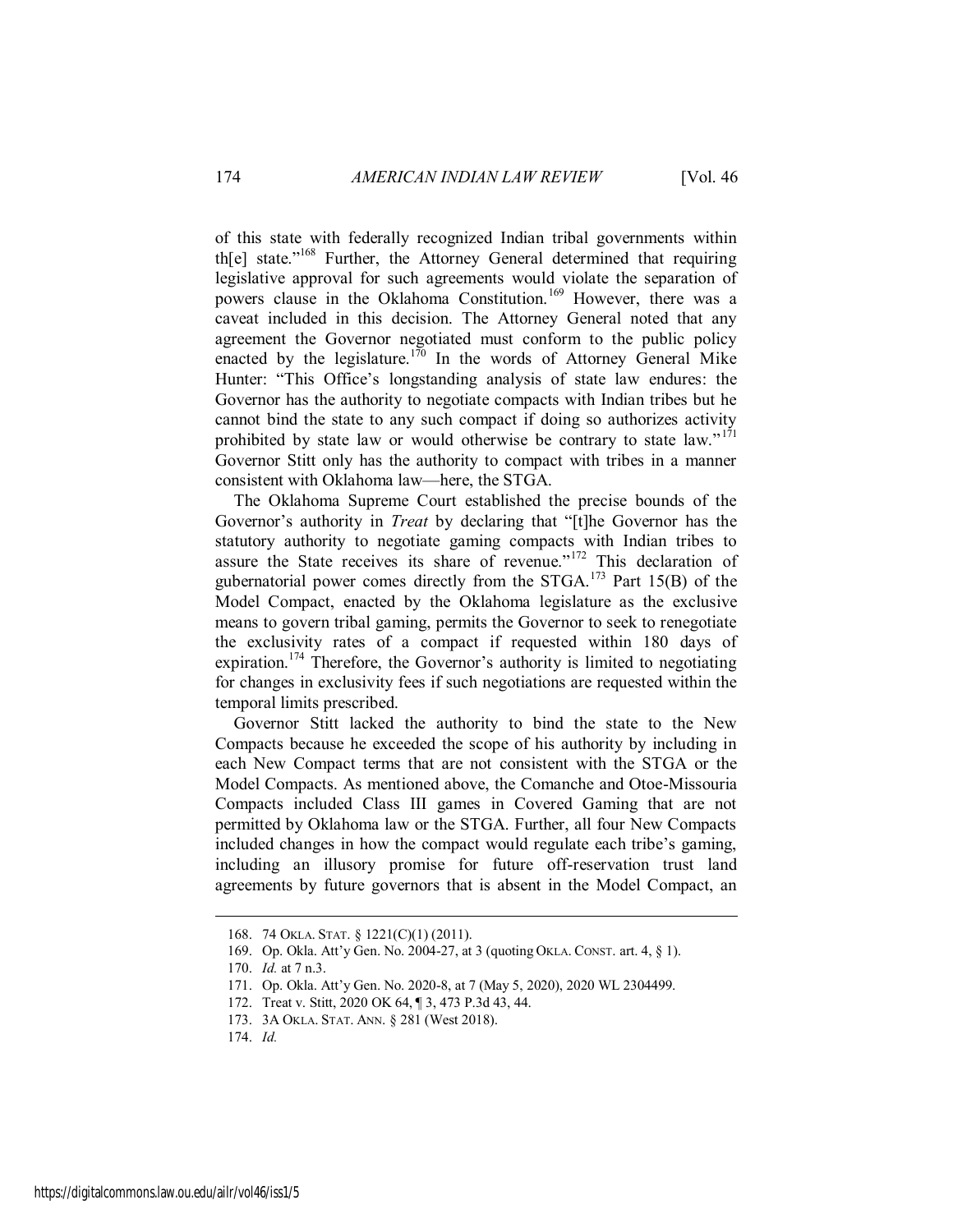of this state with federally recognized Indian tribal governments within th[e] state."<sup>168</sup> Further, the Attorney General determined that requiring legislative approval for such agreements would violate the separation of powers clause in the Oklahoma Constitution.<sup>169</sup> However, there was a caveat included in this decision. The Attorney General noted that any agreement the Governor negotiated must conform to the public policy enacted by the legislature.<sup>170</sup> In the words of Attorney General Mike Hunter: "This Office's longstanding analysis of state law endures: the Governor has the authority to negotiate compacts with Indian tribes but he cannot bind the state to any such compact if doing so authorizes activity prohibited by state law or would otherwise be contrary to state law."<sup>171</sup> Governor Stitt only has the authority to compact with tribes in a manner consistent with Oklahoma law—here, the STGA.

The Oklahoma Supreme Court established the precise bounds of the Governor's authority in *Treat* by declaring that "[t]he Governor has the statutory authority to negotiate gaming compacts with Indian tribes to assure the State receives its share of revenue."<sup>172</sup> This declaration of gubernatorial power comes directly from the STGA.<sup>173</sup> Part 15(B) of the Model Compact, enacted by the Oklahoma legislature as the exclusive means to govern tribal gaming, permits the Governor to seek to renegotiate the exclusivity rates of a compact if requested within 180 days of expiration.<sup>174</sup> Therefore, the Governor's authority is limited to negotiating for changes in exclusivity fees if such negotiations are requested within the temporal limits prescribed.

Governor Stitt lacked the authority to bind the state to the New Compacts because he exceeded the scope of his authority by including in each New Compact terms that are not consistent with the STGA or the Model Compacts. As mentioned above, the Comanche and Otoe-Missouria Compacts included Class III games in Covered Gaming that are not permitted by Oklahoma law or the STGA. Further, all four New Compacts included changes in how the compact would regulate each tribe's gaming, including an illusory promise for future off-reservation trust land agreements by future governors that is absent in the Model Compact, an

174. *Id.*

<sup>168. 74</sup> OKLA. STAT. § 1221(C)(1) (2011).

<sup>169.</sup> Op. Okla. Att'y Gen. No. 2004-27, at 3 (quoting OKLA. CONST. art. 4, § 1).

<sup>170.</sup> *Id.* at 7 n.3.

<sup>171.</sup> Op. Okla. Att'y Gen. No. 2020-8, at 7 (May 5, 2020), 2020 WL 2304499.

<sup>172.</sup> Treat v. Stitt, 2020 OK 64, ¶ 3, 473 P.3d 43, 44.

<sup>173. 3</sup>A OKLA. STAT. ANN. § 281 (West 2018).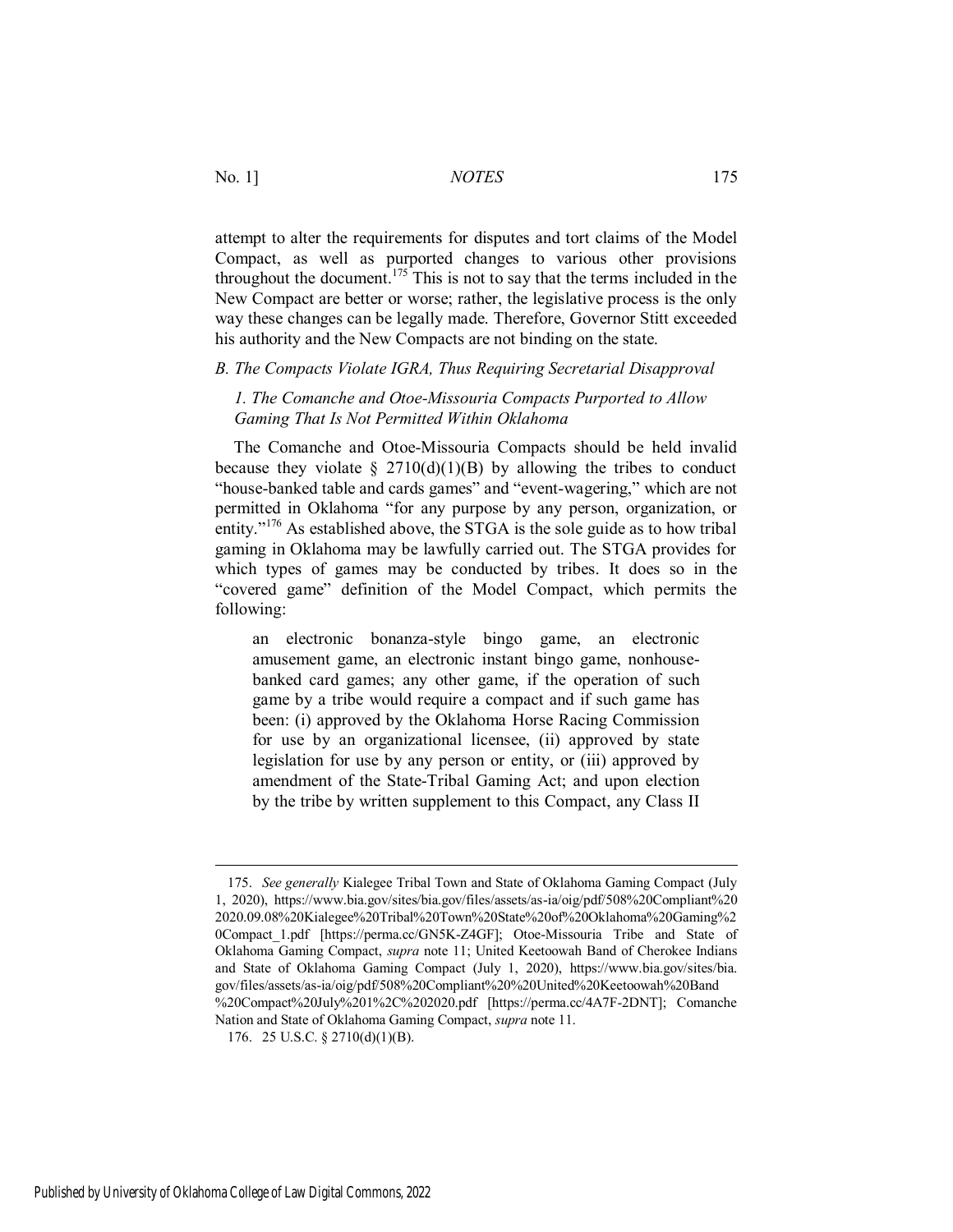attempt to alter the requirements for disputes and tort claims of the Model Compact, as well as purported changes to various other provisions throughout the document.<sup>175</sup> This is not to say that the terms included in the New Compact are better or worse; rather, the legislative process is the only way these changes can be legally made. Therefore, Governor Stitt exceeded his authority and the New Compacts are not binding on the state.

# *B. The Compacts Violate IGRA, Thus Requiring Secretarial Disapproval*

*1. The Comanche and Otoe-Missouria Compacts Purported to Allow Gaming That Is Not Permitted Within Oklahoma* 

The Comanche and Otoe-Missouria Compacts should be held invalid because they violate  $\S 2710(d)(1)(B)$  by allowing the tribes to conduct "house-banked table and cards games" and "event-wagering," which are not permitted in Oklahoma "for any purpose by any person, organization, or entity."<sup>176</sup> As established above, the STGA is the sole guide as to how tribal gaming in Oklahoma may be lawfully carried out. The STGA provides for which types of games may be conducted by tribes. It does so in the "covered game" definition of the Model Compact, which permits the following:

an electronic bonanza-style bingo game, an electronic amusement game, an electronic instant bingo game, nonhousebanked card games; any other game, if the operation of such game by a tribe would require a compact and if such game has been: (i) approved by the Oklahoma Horse Racing Commission for use by an organizational licensee, (ii) approved by state legislation for use by any person or entity, or (iii) approved by amendment of the State-Tribal Gaming Act; and upon election by the tribe by written supplement to this Compact, any Class II

<sup>175.</sup> *See generally* Kialegee Tribal Town and State of Oklahoma Gaming Compact (July 1, 2020), https://www.bia.gov/sites/bia.gov/files/assets/as-ia/oig/pdf/508%20Compliant%20 2020.09.08%20Kialegee%20Tribal%20Town%20State%20of%20Oklahoma%20Gaming%2 0Compact\_1.pdf [https://perma.cc/GN5K-Z4GF]; Otoe-Missouria Tribe and State of Oklahoma Gaming Compact, *supra* note 11; United Keetoowah Band of Cherokee Indians and State of Oklahoma Gaming Compact (July 1, 2020), https://www.bia.gov/sites/bia. gov/files/assets/as-ia/oig/pdf/508%20Compliant%20%20United%20Keetoowah%20Band %20Compact%20July%201%2C%202020.pdf [https://perma.cc/4A7F-2DNT]; Comanche Nation and State of Oklahoma Gaming Compact, *supra* note 11.

<sup>176. 25</sup> U.S.C. § 2710(d)(1)(B).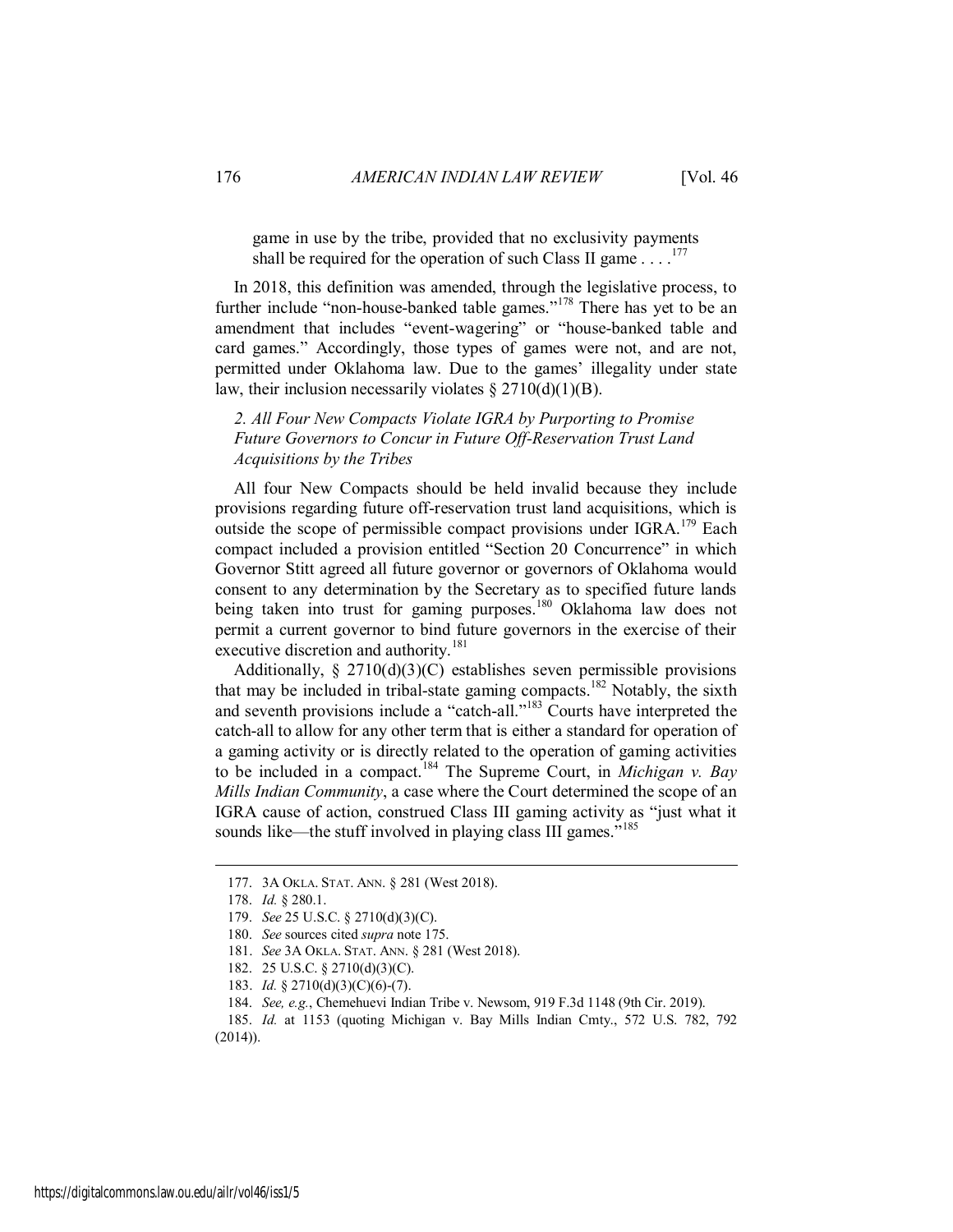game in use by the tribe, provided that no exclusivity payments shall be required for the operation of such Class II game  $\dots$ <sup>177</sup>

In 2018, this definition was amended, through the legislative process, to further include "non-house-banked table games."<sup>178</sup> There has yet to be an amendment that includes "event-wagering" or "house-banked table and card games." Accordingly, those types of games were not, and are not, permitted under Oklahoma law. Due to the games' illegality under state law, their inclusion necessarily violates  $\S 2710(d)(1)(B)$ .

# *2. All Four New Compacts Violate IGRA by Purporting to Promise Future Governors to Concur in Future Off-Reservation Trust Land Acquisitions by the Tribes*

All four New Compacts should be held invalid because they include provisions regarding future off-reservation trust land acquisitions, which is outside the scope of permissible compact provisions under  $IGRA$ <sup>179</sup> Each compact included a provision entitled "Section 20 Concurrence" in which Governor Stitt agreed all future governor or governors of Oklahoma would consent to any determination by the Secretary as to specified future lands being taken into trust for gaming purposes.<sup>180</sup> Oklahoma law does not permit a current governor to bind future governors in the exercise of their executive discretion and authority.<sup>181</sup>

Additionally,  $\S 2710(d)(3)(C)$  establishes seven permissible provisions that may be included in tribal-state gaming compacts.<sup>182</sup> Notably, the sixth and seventh provisions include a "catch-all."<sup>183</sup> Courts have interpreted the catch-all to allow for any other term that is either a standard for operation of a gaming activity or is directly related to the operation of gaming activities to be included in a compact.<sup>184</sup> The Supreme Court, in *Michigan v. Bay Mills Indian Community*, a case where the Court determined the scope of an IGRA cause of action, construed Class III gaming activity as "just what it sounds like—the stuff involved in playing class III games."<sup>185</sup>

<sup>177. 3</sup>A OKLA. STAT. ANN. § 281 (West 2018).

<sup>178.</sup> *Id.* § 280.1.

<sup>179.</sup> *See* 25 U.S.C. § 2710(d)(3)(C).

<sup>180.</sup> *See* sources cited *supra* note 175.

<sup>181.</sup> *See* 3A OKLA. STAT. ANN. § 281 (West 2018).

<sup>182. 25</sup> U.S.C. § 2710(d)(3)(C).

<sup>183.</sup> *Id.* § 2710(d)(3)(C)(6)-(7).

<sup>184.</sup> *See, e.g.*, Chemehuevi Indian Tribe v. Newsom, 919 F.3d 1148 (9th Cir. 2019).

<sup>185.</sup> *Id.* at 1153 (quoting Michigan v. Bay Mills Indian Cmty., 572 U.S. 782, 792  $(2014)$ ).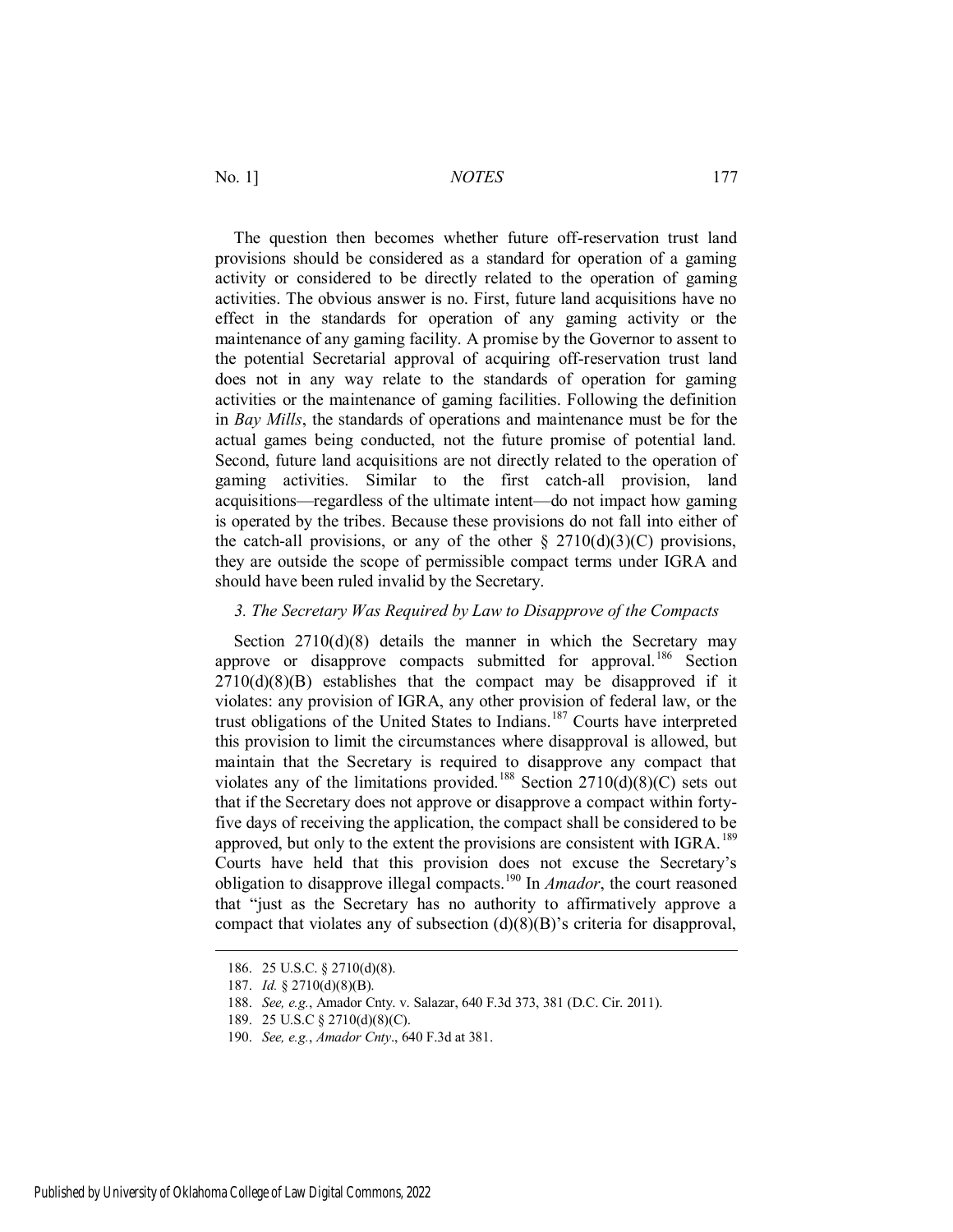The question then becomes whether future off-reservation trust land provisions should be considered as a standard for operation of a gaming activity or considered to be directly related to the operation of gaming activities. The obvious answer is no. First, future land acquisitions have no effect in the standards for operation of any gaming activity or the maintenance of any gaming facility. A promise by the Governor to assent to the potential Secretarial approval of acquiring off-reservation trust land does not in any way relate to the standards of operation for gaming activities or the maintenance of gaming facilities. Following the definition in *Bay Mills*, the standards of operations and maintenance must be for the actual games being conducted, not the future promise of potential land. Second, future land acquisitions are not directly related to the operation of gaming activities. Similar to the first catch-all provision, land acquisitions—regardless of the ultimate intent—do not impact how gaming is operated by the tribes. Because these provisions do not fall into either of the catch-all provisions, or any of the other  $\S 2710(d)(3)(C)$  provisions, they are outside the scope of permissible compact terms under IGRA and should have been ruled invalid by the Secretary.

# *3. The Secretary Was Required by Law to Disapprove of the Compacts*

Section 2710(d)(8) details the manner in which the Secretary may approve or disapprove compacts submitted for approval.<sup>186</sup> Section  $2710(d)(8)(B)$  establishes that the compact may be disapproved if it violates: any provision of IGRA, any other provision of federal law, or the trust obligations of the United States to Indians.<sup>187</sup> Courts have interpreted this provision to limit the circumstances where disapproval is allowed, but maintain that the Secretary is required to disapprove any compact that violates any of the limitations provided.<sup>188</sup> Section 2710(d)(8)(C) sets out that if the Secretary does not approve or disapprove a compact within fortyfive days of receiving the application, the compact shall be considered to be approved, but only to the extent the provisions are consistent with  $IGRA$ .<sup>189</sup> Courts have held that this provision does not excuse the Secretary's obligation to disapprove illegal compacts.<sup>190</sup> In *Amador*, the court reasoned that "just as the Secretary has no authority to affirmatively approve a compact that violates any of subsection (d)(8)(B)'s criteria for disapproval,

<sup>186. 25</sup> U.S.C. § 2710(d)(8).

<sup>187.</sup> *Id.* § 2710(d)(8)(B).

<sup>188.</sup> *See, e.g.*, Amador Cnty. v. Salazar, 640 F.3d 373, 381 (D.C. Cir. 2011).

<sup>189. 25</sup> U.S.C § 2710(d)(8)(C).

<sup>190.</sup> *See, e.g.*, *Amador Cnty*., 640 F.3d at 381.